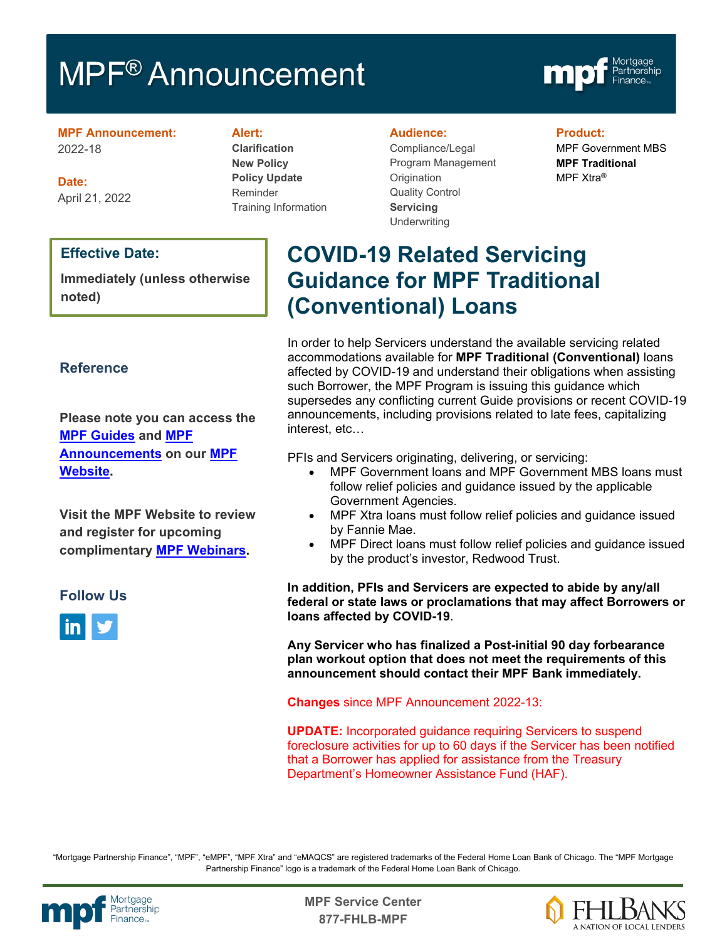# MPF<sup>®</sup> Announcement



**MPF Announcement:** 2022-18

**Date:** April 21, 2022

#### **Effective Date:**

**Immediately (unless otherwise noted)**

#### **Reference**

**Please note you can access the [MPF Guides](https://fhlbmpf.com/mpf-guides/guides) and [MPF](https://fhlbmpf.com/mpf-guides/announcements)  [Announcements](https://fhlbmpf.com/mpf-guides/announcements) on our [MPF](https://fhlbmpf.com/)  [Website.](https://fhlbmpf.com/)** 

**Visit the MPF Website to review and register for upcoming complimentary [MPF Webinars.](https://www.fhlbmpf.com/education/upcoming-webinars)**

#### **Follow Us**



#### **Alert:**

**Clarification New Policy Policy Update** Reminder Training Information

#### **Audience:**

Compliance/Legal Program Management **Origination** Quality Control **Servicing Underwriting** 

#### **Product:**

MPF Government MBS **MPF Traditional** MPF Xtra®

## **COVID-19 Related Servicing Guidance for MPF Traditional (Conventional) Loans**

In order to help Servicers understand the available servicing related accommodations available for **MPF Traditional (Conventional)** loans affected by COVID-19 and understand their obligations when assisting such Borrower, the MPF Program is issuing this guidance which supersedes any conflicting current Guide provisions or recent COVID-19 announcements, including provisions related to late fees, capitalizing interest, etc…

PFIs and Servicers originating, delivering, or servicing:

- MPF Government loans and MPF Government MBS loans must follow relief policies and guidance issued by the applicable Government Agencies.
- MPF Xtra loans must follow relief policies and guidance issued by Fannie Mae.
- MPF Direct loans must follow relief policies and guidance issued by the product's investor, Redwood Trust.

**In addition, PFIs and Servicers are expected to abide by any/all federal or state laws or proclamations that may affect Borrowers or loans affected by COVID-19**.

**Any Servicer who has finalized a Post-initial 90 day forbearance plan workout option that does not meet the requirements of this announcement should contact their MPF Bank immediately.**

**Changes** since MPF Announcement 2022-13:

**UPDATE:** Incorporated guidance requiring Servicers to suspend foreclosure activities for up to 60 days if the Servicer has been notified that a Borrower has applied for assistance from the Treasury Department's Homeowner Assistance Fund (HAF).

"Mortgage Partnership Finance", "MPF", "eMPF", "MPF Xtra" and "eMAQCS" are registered trademarks of the Federal Home Loan Bank of Chicago. The "MPF Mortgage Partnership Finance" logo is a trademark of the Federal Home Loan Bank of Chicago.



Mortgage<br>Partnership **Canadian State Service Center**<br>Partnership **877-FHLB-MPF**

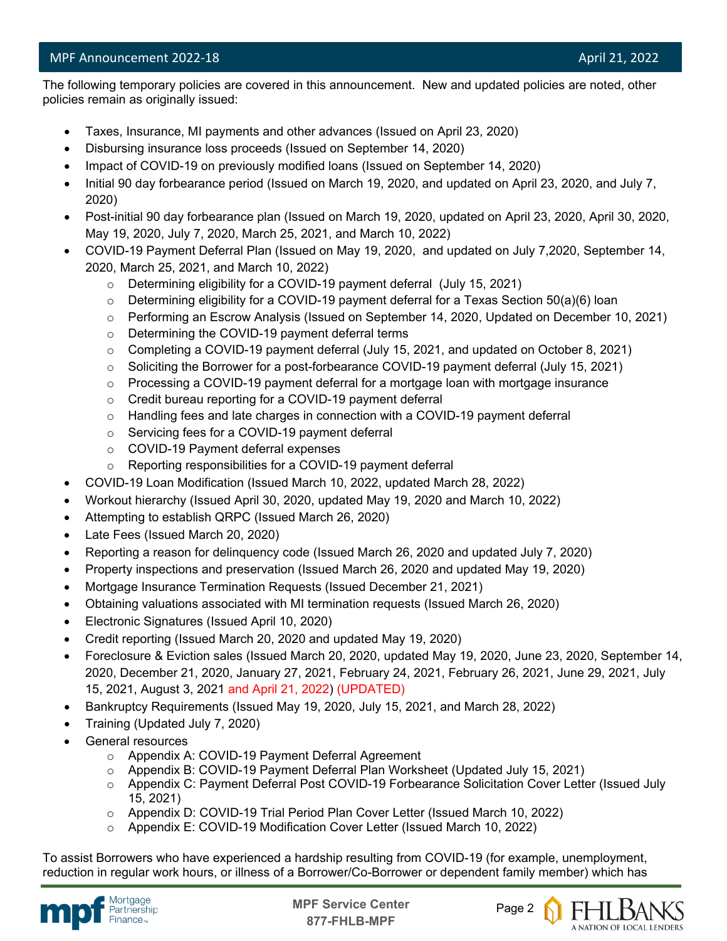l The following temporary policies are covered in this announcement. New and updated policies are noted, other policies remain as originally issued:

- Taxes, Insurance, MI payments and other advances (Issued on April 23, 2020)
- Disbursing insurance loss proceeds (Issued on September 14, 2020)
- Impact of COVID-19 on previously modified loans (Issued on September 14, 2020)
- Initial 90 day forbearance period (Issued on March 19, 2020, and updated on April 23, 2020, and July 7, 2020)
- Post-initial 90 day forbearance plan (Issued on March 19, 2020, updated on April 23, 2020, April 30, 2020, May 19, 2020, July 7, 2020, March 25, 2021, and March 10, 2022)
- COVID-19 Payment Deferral Plan (Issued on May 19, 2020, and updated on July 7,2020, September 14, 2020, March 25, 2021, and March 10, 2022)
	- o Determining eligibility for a COVID-19 payment deferral (July 15, 2021)
	- o Determining eligibility for a COVID-19 payment deferral for a Texas Section 50(a)(6) loan
	- o Performing an Escrow Analysis (Issued on September 14, 2020, Updated on December 10, 2021)
	- o Determining the COVID-19 payment deferral terms
	- $\circ$  Completing a COVID-19 payment deferral (July 15, 2021, and updated on October 8, 2021)
	- o Soliciting the Borrower for a post-forbearance COVID-19 payment deferral (July 15, 2021)
	- $\circ$  Processing a COVID-19 payment deferral for a mortgage loan with mortgage insurance
	- o Credit bureau reporting for a COVID-19 payment deferral
	- $\circ$  Handling fees and late charges in connection with a COVID-19 payment deferral
	- o Servicing fees for a COVID-19 payment deferral
	- o COVID-19 Payment deferral expenses
	- o Reporting responsibilities for a COVID-19 payment deferral
- COVID-19 Loan Modification (Issued March 10, 2022, updated March 28, 2022)
- Workout hierarchy (Issued April 30, 2020, updated May 19, 2020 and March 10, 2022)
- Attempting to establish QRPC (Issued March 26, 2020)
- Late Fees (Issued March 20, 2020)
- Reporting a reason for delinquency code (Issued March 26, 2020 and updated July 7, 2020)
- Property inspections and preservation (Issued March 26, 2020 and updated May 19, 2020)
- Mortgage Insurance Termination Requests (Issued December 21, 2021)
- Obtaining valuations associated with MI termination requests (Issued March 26, 2020)
- Electronic Signatures (Issued April 10, 2020)
- Credit reporting (Issued March 20, 2020 and updated May 19, 2020)
- Foreclosure & Eviction sales (Issued March 20, 2020, updated May 19, 2020, June 23, 2020, September 14, 2020, December 21, 2020, January 27, 2021, February 24, 2021, February 26, 2021, June 29, 2021, July 15, 2021, August 3, 2021 and April 21, 2022) (UPDATED)
- Bankruptcy Requirements (Issued May 19, 2020, July 15, 2021, and March 28, 2022)
- Training (Updated July 7, 2020)
- General resources
	- o Appendix A: COVID-19 Payment Deferral Agreement
	- o Appendix B: COVID-19 Payment Deferral Plan Worksheet (Updated July 15, 2021)
	- o Appendix C: Payment Deferral Post COVID-19 Forbearance Solicitation Cover Letter (Issued July 15, 2021)
	- o Appendix D: COVID-19 Trial Period Plan Cover Letter (Issued March 10, 2022)
	- o Appendix E: COVID-19 Modification Cover Letter (Issued March 10, 2022)

To assist Borrowers who have experienced a hardship resulting from COVID-19 (for example, unemployment, reduction in regular work hours, or illness of a Borrower/Co-Borrower or dependent family member) which has



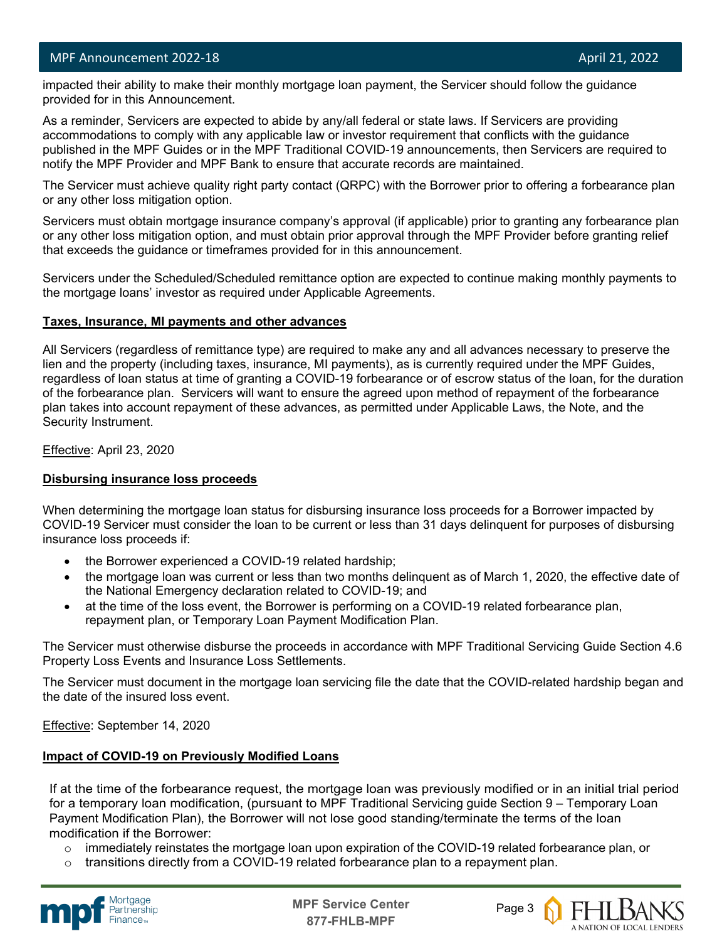l impacted their ability to make their monthly mortgage loan payment, the Servicer should follow the guidance provided for in this Announcement.

As a reminder, Servicers are expected to abide by any/all federal or state laws. If Servicers are providing accommodations to comply with any applicable law or investor requirement that conflicts with the guidance published in the MPF Guides or in the MPF Traditional COVID-19 announcements, then Servicers are required to notify the MPF Provider and MPF Bank to ensure that accurate records are maintained.

The Servicer must achieve quality right party contact (QRPC) with the Borrower prior to offering a forbearance plan or any other loss mitigation option.

Servicers must obtain mortgage insurance company's approval (if applicable) prior to granting any forbearance plan or any other loss mitigation option, and must obtain prior approval through the MPF Provider before granting relief that exceeds the guidance or timeframes provided for in this announcement.

Servicers under the Scheduled/Scheduled remittance option are expected to continue making monthly payments to the mortgage loans' investor as required under Applicable Agreements.

#### **Taxes, Insurance, MI payments and other advances**

All Servicers (regardless of remittance type) are required to make any and all advances necessary to preserve the lien and the property (including taxes, insurance, MI payments), as is currently required under the MPF Guides, regardless of loan status at time of granting a COVID-19 forbearance or of escrow status of the loan, for the duration of the forbearance plan. Servicers will want to ensure the agreed upon method of repayment of the forbearance plan takes into account repayment of these advances, as permitted under Applicable Laws, the Note, and the Security Instrument.

Effective: April 23, 2020

#### **Disbursing insurance loss proceeds**

When determining the mortgage loan status for disbursing insurance loss proceeds for a Borrower impacted by COVID-19 Servicer must consider the loan to be current or less than 31 days delinquent for purposes of disbursing insurance loss proceeds if:

- the Borrower experienced a COVID-19 related hardship;
- the mortgage loan was current or less than two months delinquent as of March 1, 2020, the effective date of the National Emergency declaration related to COVID-19; and
- at the time of the loss event, the Borrower is performing on a COVID-19 related forbearance plan, repayment plan, or Temporary Loan Payment Modification Plan.

The Servicer must otherwise disburse the proceeds in accordance with MPF Traditional Servicing Guide Section 4.6 Property Loss Events and Insurance Loss Settlements.

The Servicer must document in the mortgage loan servicing file the date that the COVID-related hardship began and the date of the insured loss event.

Effective: September 14, 2020

#### **Impact of COVID-19 on Previously Modified Loans**

If at the time of the forbearance request, the mortgage loan was previously modified or in an initial trial period for a temporary loan modification, (pursuant to MPF Traditional Servicing guide Section 9 – Temporary Loan Payment Modification Plan), the Borrower will not lose good standing/terminate the terms of the loan modification if the Borrower:

- $\circ$  immediately reinstates the mortgage loan upon expiration of the COVID-19 related forbearance plan, or
- transitions directly from a COVID-19 related forbearance plan to a repayment plan.



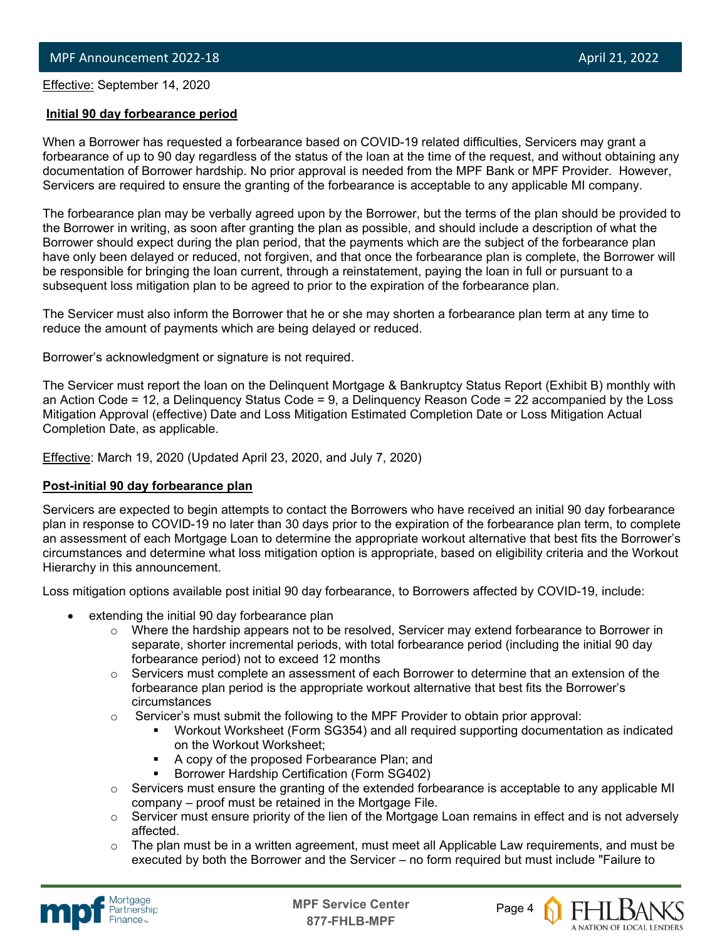Effective: September 14, 2020

l

#### **Initial 90 day forbearance period**

When a Borrower has requested a forbearance based on COVID-19 related difficulties, Servicers may grant a forbearance of up to 90 day regardless of the status of the loan at the time of the request, and without obtaining any documentation of Borrower hardship. No prior approval is needed from the MPF Bank or MPF Provider. However, Servicers are required to ensure the granting of the forbearance is acceptable to any applicable MI company.

The forbearance plan may be verbally agreed upon by the Borrower, but the terms of the plan should be provided to the Borrower in writing, as soon after granting the plan as possible, and should include a description of what the Borrower should expect during the plan period, that the payments which are the subject of the forbearance plan have only been delayed or reduced, not forgiven, and that once the forbearance plan is complete, the Borrower will be responsible for bringing the loan current, through a reinstatement, paying the loan in full or pursuant to a subsequent loss mitigation plan to be agreed to prior to the expiration of the forbearance plan.

The Servicer must also inform the Borrower that he or she may shorten a forbearance plan term at any time to reduce the amount of payments which are being delayed or reduced.

Borrower's acknowledgment or signature is not required.

The Servicer must report the loan on the Delinquent Mortgage & Bankruptcy Status Report (Exhibit B) monthly with an Action Code = 12, a Delinquency Status Code = 9, a Delinquency Reason Code = 22 accompanied by the Loss Mitigation Approval (effective) Date and Loss Mitigation Estimated Completion Date or Loss Mitigation Actual Completion Date, as applicable.

**Effective: March 19, 2020 (Updated April 23, 2020, and July 7, 2020)** 

#### **Post-initial 90 day forbearance plan**

Servicers are expected to begin attempts to contact the Borrowers who have received an initial 90 day forbearance plan in response to COVID-19 no later than 30 days prior to the expiration of the forbearance plan term, to complete an assessment of each Mortgage Loan to determine the appropriate workout alternative that best fits the Borrower's circumstances and determine what loss mitigation option is appropriate, based on eligibility criteria and the Workout Hierarchy in this announcement.

Loss mitigation options available post initial 90 day forbearance, to Borrowers affected by COVID-19, include:

- extending the initial 90 day forbearance plan
	- $\circ$  Where the hardship appears not to be resolved, Servicer may extend forbearance to Borrower in separate, shorter incremental periods, with total forbearance period (including the initial 90 day forbearance period) not to exceed 12 months
	- $\circ$  Servicers must complete an assessment of each Borrower to determine that an extension of the forbearance plan period is the appropriate workout alternative that best fits the Borrower's circumstances
	- $\circ$  Servicer's must submit the following to the MPF Provider to obtain prior approval:
		- Workout Worksheet (Form SG354) and all required supporting documentation as indicated on the Workout Worksheet;
		- A copy of the proposed Forbearance Plan; and
		- Borrower Hardship Certification (Form SG402)
	- o Servicers must ensure the granting of the extended forbearance is acceptable to any applicable MI company – proof must be retained in the Mortgage File.
	- o Servicer must ensure priority of the lien of the Mortgage Loan remains in effect and is not adversely affected.
	- $\circ$  The plan must be in a written agreement, must meet all Applicable Law requirements, and must be executed by both the Borrower and the Servicer – no form required but must include "Failure to



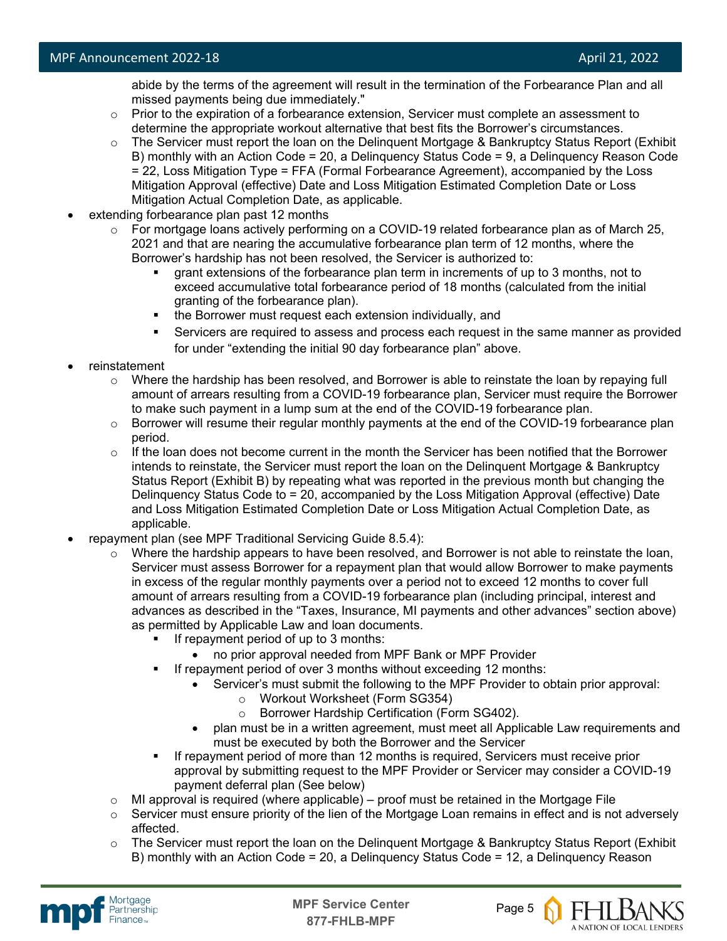abide by the terms of the agreement will result in the termination of the Forbearance Plan and all missed payments being due immediately."

- $\circ$  Prior to the expiration of a forbearance extension, Servicer must complete an assessment to determine the appropriate workout alternative that best fits the Borrower's circumstances.
- o The Servicer must report the loan on the Delinquent Mortgage & Bankruptcy Status Report (Exhibit B) monthly with an Action Code = 20, a Delinquency Status Code = 9, a Delinquency Reason Code = 22, Loss Mitigation Type = FFA (Formal Forbearance Agreement), accompanied by the Loss Mitigation Approval (effective) Date and Loss Mitigation Estimated Completion Date or Loss Mitigation Actual Completion Date, as applicable.
- extending forbearance plan past 12 months
	- o For mortgage loans actively performing on a COVID-19 related forbearance plan as of March 25, 2021 and that are nearing the accumulative forbearance plan term of 12 months, where the Borrower's hardship has not been resolved, the Servicer is authorized to:
		- grant extensions of the forbearance plan term in increments of up to 3 months, not to exceed accumulative total forbearance period of 18 months (calculated from the initial granting of the forbearance plan).
		- the Borrower must request each extension individually, and
		- Servicers are required to assess and process each request in the same manner as provided for under "extending the initial 90 day forbearance plan" above.
- reinstatement
	- $\circ$  Where the hardship has been resolved, and Borrower is able to reinstate the loan by repaying full amount of arrears resulting from a COVID-19 forbearance plan, Servicer must require the Borrower to make such payment in a lump sum at the end of the COVID-19 forbearance plan.
	- $\circ$  Borrower will resume their regular monthly payments at the end of the COVID-19 forbearance plan period.
	- $\circ$  If the loan does not become current in the month the Servicer has been notified that the Borrower intends to reinstate, the Servicer must report the loan on the Delinquent Mortgage & Bankruptcy Status Report (Exhibit B) by repeating what was reported in the previous month but changing the Delinquency Status Code to = 20, accompanied by the Loss Mitigation Approval (effective) Date and Loss Mitigation Estimated Completion Date or Loss Mitigation Actual Completion Date, as applicable.
- repayment plan (see MPF Traditional Servicing Guide 8.5.4):
	- $\circ$  Where the hardship appears to have been resolved, and Borrower is not able to reinstate the loan, Servicer must assess Borrower for a repayment plan that would allow Borrower to make payments in excess of the regular monthly payments over a period not to exceed 12 months to cover full amount of arrears resulting from a COVID-19 forbearance plan (including principal, interest and advances as described in the "Taxes, Insurance, MI payments and other advances" section above) as permitted by Applicable Law and loan documents.
		- If repayment period of up to 3 months:
			- no prior approval needed from MPF Bank or MPF Provider
		- If repayment period of over 3 months without exceeding 12 months:
			- Servicer's must submit the following to the MPF Provider to obtain prior approval:
				- o Workout Worksheet (Form SG354)
				- o Borrower Hardship Certification (Form SG402).
			- plan must be in a written agreement, must meet all Applicable Law requirements and must be executed by both the Borrower and the Servicer
		- If repayment period of more than 12 months is required, Servicers must receive prior approval by submitting request to the MPF Provider or Servicer may consider a COVID-19 payment deferral plan (See below)
	- $\circ$  MI approval is required (where applicable) proof must be retained in the Mortgage File
	- $\circ$  Servicer must ensure priority of the lien of the Mortgage Loan remains in effect and is not adversely affected.
	- $\circ$  The Servicer must report the loan on the Delinquent Mortgage & Bankruptcy Status Report (Exhibit B) monthly with an Action Code = 20, a Delinquency Status Code = 12, a Delinquency Reason



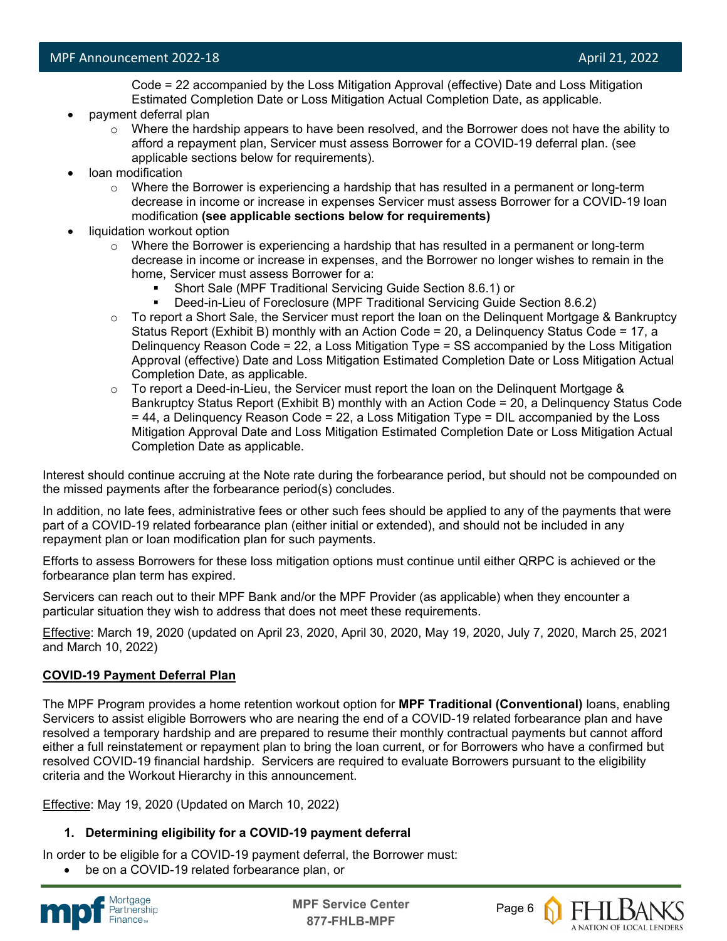Code = 22 accompanied by the Loss Mitigation Approval (effective) Date and Loss Mitigation Estimated Completion Date or Loss Mitigation Actual Completion Date, as applicable.

- payment deferral plan
	- $\circ$  Where the hardship appears to have been resolved, and the Borrower does not have the ability to afford a repayment plan, Servicer must assess Borrower for a COVID-19 deferral plan. (see applicable sections below for requirements).
- loan modification
	- $\circ$  Where the Borrower is experiencing a hardship that has resulted in a permanent or long-term decrease in income or increase in expenses Servicer must assess Borrower for a COVID-19 loan modification **(see applicable sections below for requirements)**
- liquidation workout option
	- $\circ$  Where the Borrower is experiencing a hardship that has resulted in a permanent or long-term decrease in income or increase in expenses, and the Borrower no longer wishes to remain in the home, Servicer must assess Borrower for a:
		- Short Sale (MPF Traditional Servicing Guide Section 8.6.1) or
		- Deed-in-Lieu of Foreclosure (MPF Traditional Servicing Guide Section 8.6.2)
	- $\circ$  To report a Short Sale, the Servicer must report the loan on the Delinguent Mortgage & Bankruptcy Status Report (Exhibit B) monthly with an Action Code = 20, a Delinquency Status Code = 17, a Delinquency Reason Code = 22, a Loss Mitigation Type = SS accompanied by the Loss Mitigation Approval (effective) Date and Loss Mitigation Estimated Completion Date or Loss Mitigation Actual Completion Date, as applicable.
	- $\circ$  To report a Deed-in-Lieu, the Servicer must report the loan on the Delinguent Mortgage & Bankruptcy Status Report (Exhibit B) monthly with an Action Code = 20, a Delinquency Status Code = 44, a Delinquency Reason Code = 22, a Loss Mitigation Type = DIL accompanied by the Loss Mitigation Approval Date and Loss Mitigation Estimated Completion Date or Loss Mitigation Actual Completion Date as applicable.

Interest should continue accruing at the Note rate during the forbearance period, but should not be compounded on the missed payments after the forbearance period(s) concludes.

In addition, no late fees, administrative fees or other such fees should be applied to any of the payments that were part of a COVID-19 related forbearance plan (either initial or extended), and should not be included in any repayment plan or loan modification plan for such payments.

Efforts to assess Borrowers for these loss mitigation options must continue until either QRPC is achieved or the forbearance plan term has expired.

Servicers can reach out to their MPF Bank and/or the MPF Provider (as applicable) when they encounter a particular situation they wish to address that does not meet these requirements.

Effective: March 19, 2020 (updated on April 23, 2020, April 30, 2020, May 19, 2020, July 7, 2020, March 25, 2021 and March 10, 2022)

#### **COVID-19 Payment Deferral Plan**

The MPF Program provides a home retention workout option for **MPF Traditional (Conventional)** loans, enabling Servicers to assist eligible Borrowers who are nearing the end of a COVID-19 related forbearance plan and have resolved a temporary hardship and are prepared to resume their monthly contractual payments but cannot afford either a full reinstatement or repayment plan to bring the loan current, or for Borrowers who have a confirmed but resolved COVID-19 financial hardship. Servicers are required to evaluate Borrowers pursuant to the eligibility criteria and the Workout Hierarchy in this announcement.

Effective: May 19, 2020 (Updated on March 10, 2022)

#### **1. Determining eligibility for a COVID-19 payment deferral**

In order to be eligible for a COVID-19 payment deferral, the Borrower must:

be on a COVID-19 related forbearance plan, or



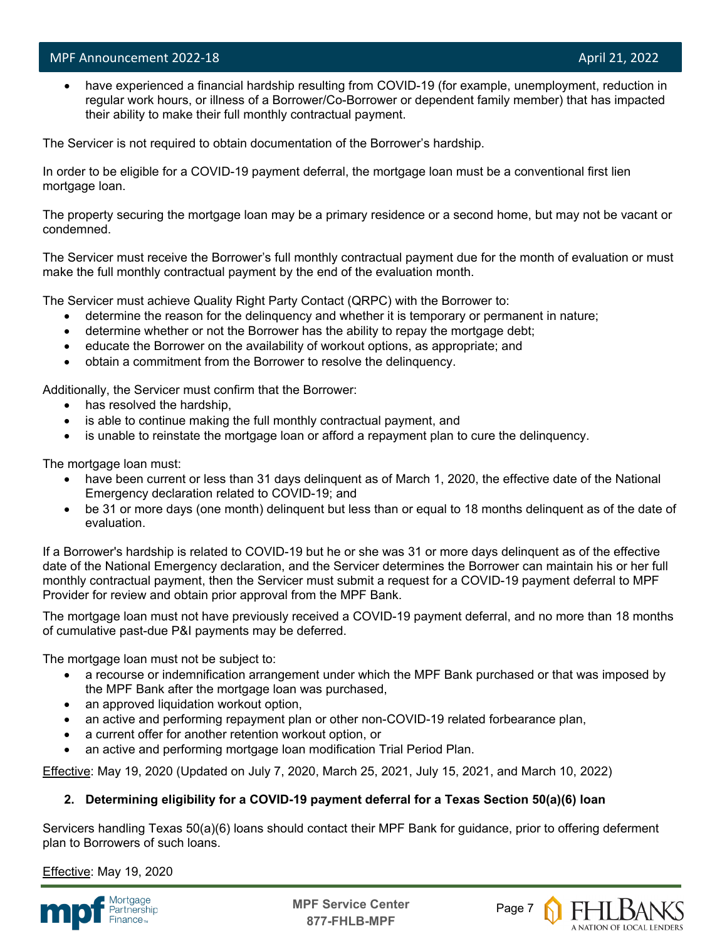l

have experienced a financial hardship resulting from COVID-19 (for example, unemployment, reduction in regular work hours, or illness of a Borrower/Co-Borrower or dependent family member) that has impacted their ability to make their full monthly contractual payment.

The Servicer is not required to obtain documentation of the Borrower's hardship.

In order to be eligible for a COVID-19 payment deferral, the mortgage loan must be a conventional first lien mortgage loan.

The property securing the mortgage loan may be a primary residence or a second home, but may not be vacant or condemned.

The Servicer must receive the Borrower's full monthly contractual payment due for the month of evaluation or must make the full monthly contractual payment by the end of the evaluation month.

The Servicer must achieve Quality Right Party Contact (QRPC) with the Borrower to:

- determine the reason for the delinquency and whether it is temporary or permanent in nature;
- determine whether or not the Borrower has the ability to repay the mortgage debt;
- educate the Borrower on the availability of workout options, as appropriate; and
- obtain a commitment from the Borrower to resolve the delinquency.

Additionally, the Servicer must confirm that the Borrower:

- has resolved the hardship,
- is able to continue making the full monthly contractual payment, and
- is unable to reinstate the mortgage loan or afford a repayment plan to cure the delinquency.

The mortgage loan must:

- have been current or less than 31 days delinguent as of March 1, 2020, the effective date of the National Emergency declaration related to COVID-19; and
- be 31 or more days (one month) delinquent but less than or equal to 18 months delinquent as of the date of evaluation.

If a Borrower's hardship is related to COVID-19 but he or she was 31 or more days delinquent as of the effective date of the National Emergency declaration, and the Servicer determines the Borrower can maintain his or her full monthly contractual payment, then the Servicer must submit a request for a COVID-19 payment deferral to MPF Provider for review and obtain prior approval from the MPF Bank.

The mortgage loan must not have previously received a COVID-19 payment deferral, and no more than 18 months of cumulative past-due P&I payments may be deferred.

The mortgage loan must not be subject to:

- a recourse or indemnification arrangement under which the MPF Bank purchased or that was imposed by the MPF Bank after the mortgage loan was purchased,
- an approved liquidation workout option,
- an active and performing repayment plan or other non-COVID-19 related forbearance plan,
- a current offer for another retention workout option, or
- an active and performing mortgage loan modification Trial Period Plan.

Effective: May 19, 2020 (Updated on July 7, 2020, March 25, 2021, July 15, 2021, and March 10, 2022)

#### **2. Determining eligibility for a COVID-19 payment deferral for a Texas Section 50(a)(6) loan**

Servicers handling Texas 50(a)(6) loans should contact their MPF Bank for guidance, prior to offering deferment plan to Borrowers of such loans.

Effective: May 19, 2020



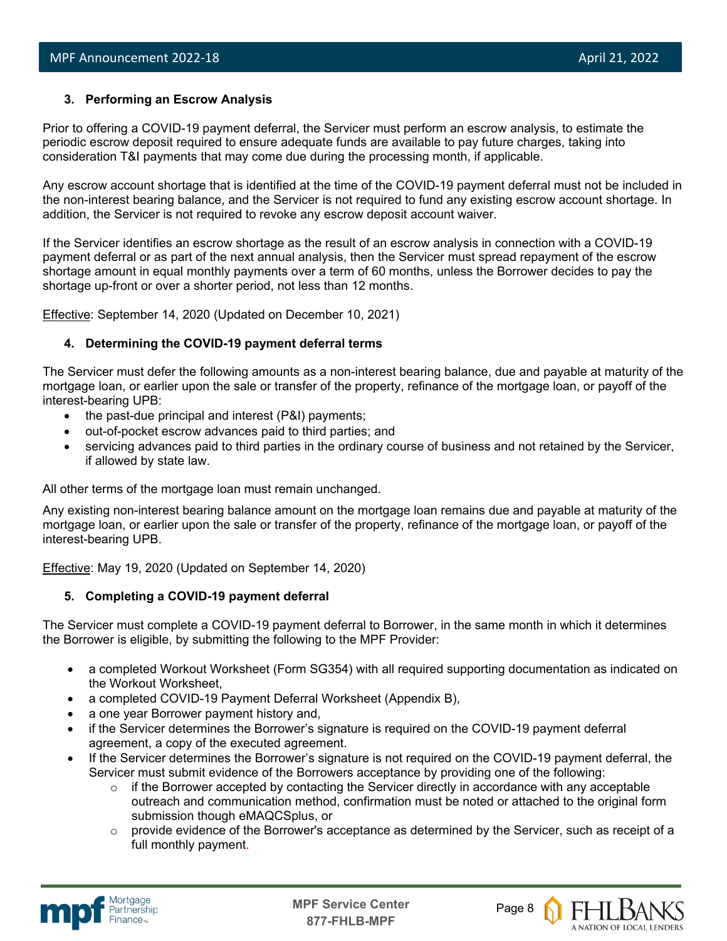#### **3. Performing an Escrow Analysis**

Prior to offering a COVID-19 payment deferral, the Servicer must perform an escrow analysis, to estimate the periodic escrow deposit required to ensure adequate funds are available to pay future charges, taking into consideration T&I payments that may come due during the processing month, if applicable.

Any escrow account shortage that is identified at the time of the COVID-19 payment deferral must not be included in the non-interest bearing balance, and the Servicer is not required to fund any existing escrow account shortage. In addition, the Servicer is not required to revoke any escrow deposit account waiver.

If the Servicer identifies an escrow shortage as the result of an escrow analysis in connection with a COVID-19 payment deferral or as part of the next annual analysis, then the Servicer must spread repayment of the escrow shortage amount in equal monthly payments over a term of 60 months, unless the Borrower decides to pay the shortage up-front or over a shorter period, not less than 12 months.

Effective: September 14, 2020 (Updated on December 10, 2021)

#### **4. Determining the COVID-19 payment deferral terms**

The Servicer must defer the following amounts as a non-interest bearing balance, due and payable at maturity of the mortgage loan, or earlier upon the sale or transfer of the property, refinance of the mortgage loan, or payoff of the interest-bearing UPB:

- the past-due principal and interest (P&I) payments;
- out-of-pocket escrow advances paid to third parties; and
- servicing advances paid to third parties in the ordinary course of business and not retained by the Servicer, if allowed by state law.

All other terms of the mortgage loan must remain unchanged.

Any existing non-interest bearing balance amount on the mortgage loan remains due and payable at maturity of the mortgage loan, or earlier upon the sale or transfer of the property, refinance of the mortgage loan, or payoff of the interest-bearing UPB.

Effective: May 19, 2020 (Updated on September 14, 2020)

#### **5. Completing a COVID-19 payment deferral**

The Servicer must complete a COVID-19 payment deferral to Borrower, in the same month in which it determines the Borrower is eligible, by submitting the following to the MPF Provider:

- a completed Workout Worksheet (Form SG354) with all required supporting documentation as indicated on the Workout Worksheet,
- a completed COVID-19 Payment Deferral Worksheet (Appendix B),
- a one year Borrower payment history and,
- if the Servicer determines the Borrower's signature is required on the COVID-19 payment deferral agreement, a copy of the executed agreement.
- If the Servicer determines the Borrower's signature is not required on the COVID-19 payment deferral, the Servicer must submit evidence of the Borrowers acceptance by providing one of the following:
	- $\circ$  if the Borrower accepted by contacting the Servicer directly in accordance with any acceptable outreach and communication method, confirmation must be noted or attached to the original form submission though eMAQCSplus, or
	- $\circ$  provide evidence of the Borrower's acceptance as determined by the Servicer, such as receipt of a full monthly payment.



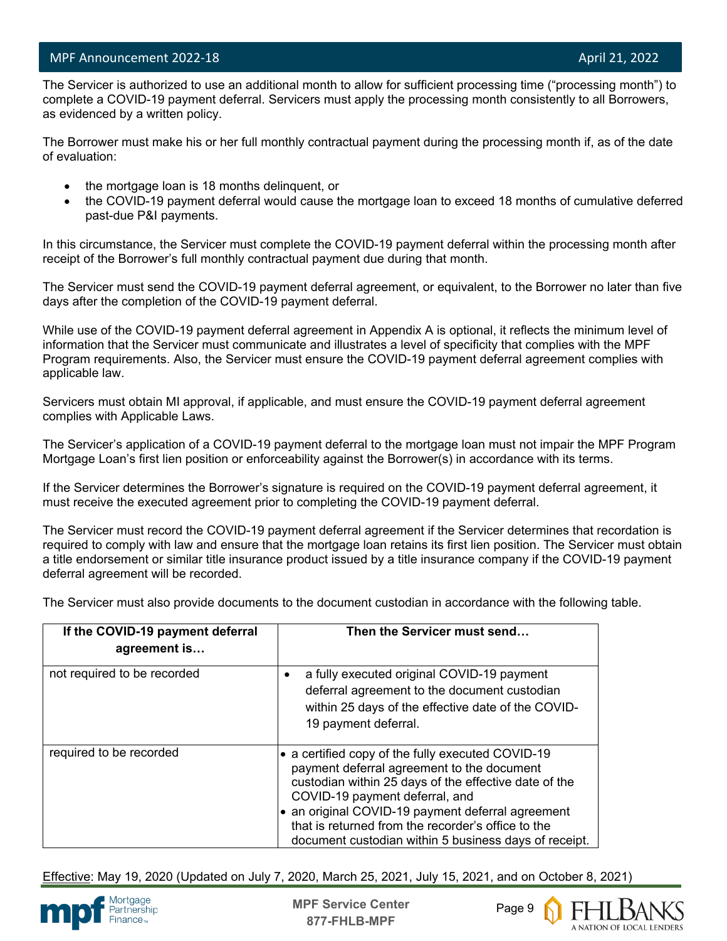l

 The Servicer is authorized to use an additional month to allow for sufficient processing time ("processing month") to complete a COVID-19 payment deferral. Servicers must apply the processing month consistently to all Borrowers, as evidenced by a written policy.

The Borrower must make his or her full monthly contractual payment during the processing month if, as of the date of evaluation:

- the mortgage loan is 18 months delinquent, or
- the COVID-19 payment deferral would cause the mortgage loan to exceed 18 months of cumulative deferred past-due P&I payments.

In this circumstance, the Servicer must complete the COVID-19 payment deferral within the processing month after receipt of the Borrower's full monthly contractual payment due during that month.

The Servicer must send the COVID-19 payment deferral agreement, or equivalent, to the Borrower no later than five days after the completion of the COVID-19 payment deferral.

While use of the COVID-19 payment deferral agreement in Appendix A is optional, it reflects the minimum level of information that the Servicer must communicate and illustrates a level of specificity that complies with the MPF Program requirements. Also, the Servicer must ensure the COVID-19 payment deferral agreement complies with applicable law.

Servicers must obtain MI approval, if applicable, and must ensure the COVID-19 payment deferral agreement complies with Applicable Laws.

The Servicer's application of a COVID-19 payment deferral to the mortgage loan must not impair the MPF Program Mortgage Loan's first lien position or enforceability against the Borrower(s) in accordance with its terms.

If the Servicer determines the Borrower's signature is required on the COVID-19 payment deferral agreement, it must receive the executed agreement prior to completing the COVID-19 payment deferral.

The Servicer must record the COVID-19 payment deferral agreement if the Servicer determines that recordation is required to comply with law and ensure that the mortgage loan retains its first lien position. The Servicer must obtain a title endorsement or similar title insurance product issued by a title insurance company if the COVID-19 payment deferral agreement will be recorded.

The Servicer must also provide documents to the document custodian in accordance with the following table.

| If the COVID-19 payment deferral<br>agreement is | Then the Servicer must send                                                                                                                                                                                                                                                                                                                                  |
|--------------------------------------------------|--------------------------------------------------------------------------------------------------------------------------------------------------------------------------------------------------------------------------------------------------------------------------------------------------------------------------------------------------------------|
| not required to be recorded                      | a fully executed original COVID-19 payment<br>deferral agreement to the document custodian<br>within 25 days of the effective date of the COVID-<br>19 payment deferral.                                                                                                                                                                                     |
| required to be recorded                          | • a certified copy of the fully executed COVID-19<br>payment deferral agreement to the document<br>custodian within 25 days of the effective date of the<br>COVID-19 payment deferral, and<br>an original COVID-19 payment deferral agreement<br>that is returned from the recorder's office to the<br>document custodian within 5 business days of receipt. |

Effective: May 19, 2020 (Updated on July 7, 2020, March 25, 2021, July 15, 2021, and on October 8, 2021)



**MPF Service Center** Page 9 **877-FHLB-MPF**

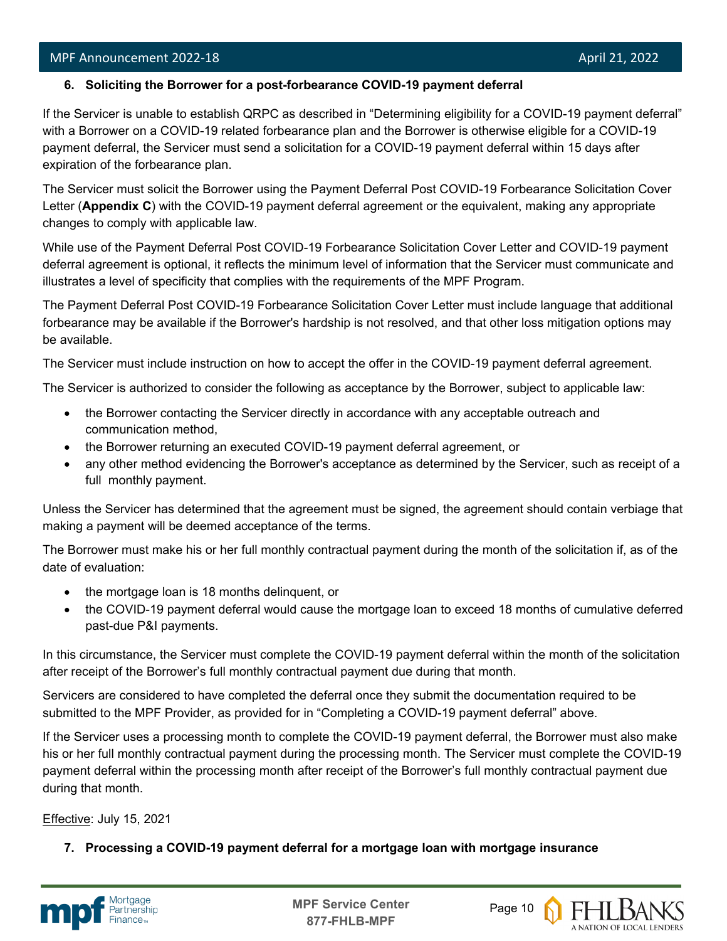l

#### **6. Soliciting the Borrower for a post-forbearance COVID-19 payment deferral**

If the Servicer is unable to establish QRPC as described in "Determining eligibility for a COVID-19 payment deferral" with a Borrower on a COVID-19 related forbearance plan and the Borrower is otherwise eligible for a COVID-19 payment deferral, the Servicer must send a solicitation for a COVID-19 payment deferral within 15 days after expiration of the forbearance plan.

The Servicer must solicit the Borrower using the Payment Deferral Post COVID-19 Forbearance Solicitation Cover Letter (**Appendix C**) with the COVID-19 payment deferral agreement or the equivalent, making any appropriate changes to comply with applicable law.

While use of the Payment Deferral Post COVID-19 Forbearance Solicitation Cover Letter and COVID-19 payment deferral agreement is optional, it reflects the minimum level of information that the Servicer must communicate and illustrates a level of specificity that complies with the requirements of the MPF Program.

The Payment Deferral Post COVID-19 Forbearance Solicitation Cover Letter must include language that additional forbearance may be available if the Borrower's hardship is not resolved, and that other loss mitigation options may be available.

The Servicer must include instruction on how to accept the offer in the COVID-19 payment deferral agreement.

The Servicer is authorized to consider the following as acceptance by the Borrower, subject to applicable law:

- the Borrower contacting the Servicer directly in accordance with any acceptable outreach and communication method,
- the Borrower returning an executed COVID-19 payment deferral agreement, or
- any other method evidencing the Borrower's acceptance as determined by the Servicer, such as receipt of a full monthly payment.

Unless the Servicer has determined that the agreement must be signed, the agreement should contain verbiage that making a payment will be deemed acceptance of the terms.

The Borrower must make his or her full monthly contractual payment during the month of the solicitation if, as of the date of evaluation:

- the mortgage loan is 18 months delinquent, or
- the COVID-19 payment deferral would cause the mortgage loan to exceed 18 months of cumulative deferred past-due P&I payments.

In this circumstance, the Servicer must complete the COVID-19 payment deferral within the month of the solicitation after receipt of the Borrower's full monthly contractual payment due during that month.

Servicers are considered to have completed the deferral once they submit the documentation required to be submitted to the MPF Provider, as provided for in "Completing a COVID-19 payment deferral" above.

If the Servicer uses a processing month to complete the COVID-19 payment deferral, the Borrower must also make his or her full monthly contractual payment during the processing month. The Servicer must complete the COVID-19 payment deferral within the processing month after receipt of the Borrower's full monthly contractual payment due during that month.

Effective: July 15, 2021

**7. Processing a COVID-19 payment deferral for a mortgage loan with mortgage insurance**



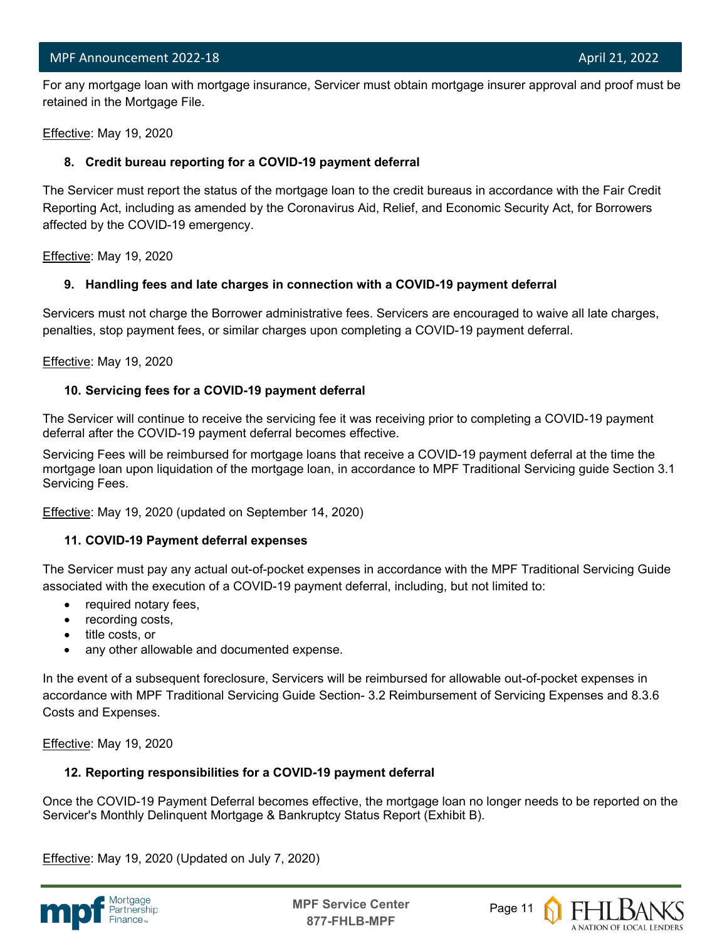l For any mortgage loan with mortgage insurance, Servicer must obtain mortgage insurer approval and proof must be retained in the Mortgage File.

Effective: May 19, 2020

#### **8. Credit bureau reporting for a COVID-19 payment deferral**

The Servicer must report the status of the mortgage loan to the credit bureaus in accordance with the Fair Credit Reporting Act, including as amended by the Coronavirus Aid, Relief, and Economic Security Act, for Borrowers affected by the COVID-19 emergency.

Effective: May 19, 2020

#### **9. Handling fees and late charges in connection with a COVID-19 payment deferral**

Servicers must not charge the Borrower administrative fees. Servicers are encouraged to waive all late charges, penalties, stop payment fees, or similar charges upon completing a COVID-19 payment deferral.

Effective: May 19, 2020

#### **10. Servicing fees for a COVID-19 payment deferral**

The Servicer will continue to receive the servicing fee it was receiving prior to completing a COVID-19 payment deferral after the COVID-19 payment deferral becomes effective.

Servicing Fees will be reimbursed for mortgage loans that receive a COVID-19 payment deferral at the time the mortgage loan upon liquidation of the mortgage loan, in accordance to MPF Traditional Servicing guide Section 3.1 Servicing Fees.

Effective: May 19, 2020 (updated on September 14, 2020)

#### **11. COVID-19 Payment deferral expenses**

The Servicer must pay any actual out-of-pocket expenses in accordance with the MPF Traditional Servicing Guide associated with the execution of a COVID-19 payment deferral, including, but not limited to:

- required notary fees,
- recording costs,
- title costs, or
- any other allowable and documented expense.

In the event of a subsequent foreclosure, Servicers will be reimbursed for allowable out-of-pocket expenses in accordance with MPF Traditional Servicing Guide Section- 3.2 Reimbursement of Servicing Expenses and 8.3.6 Costs and Expenses.

Effective: May 19, 2020

#### **12. Reporting responsibilities for a COVID-19 payment deferral**

Once the COVID-19 Payment Deferral becomes effective, the mortgage loan no longer needs to be reported on the Servicer's Monthly Delinquent Mortgage & Bankruptcy Status Report (Exhibit B).

Effective: May 19, 2020 (Updated on July 7, 2020)



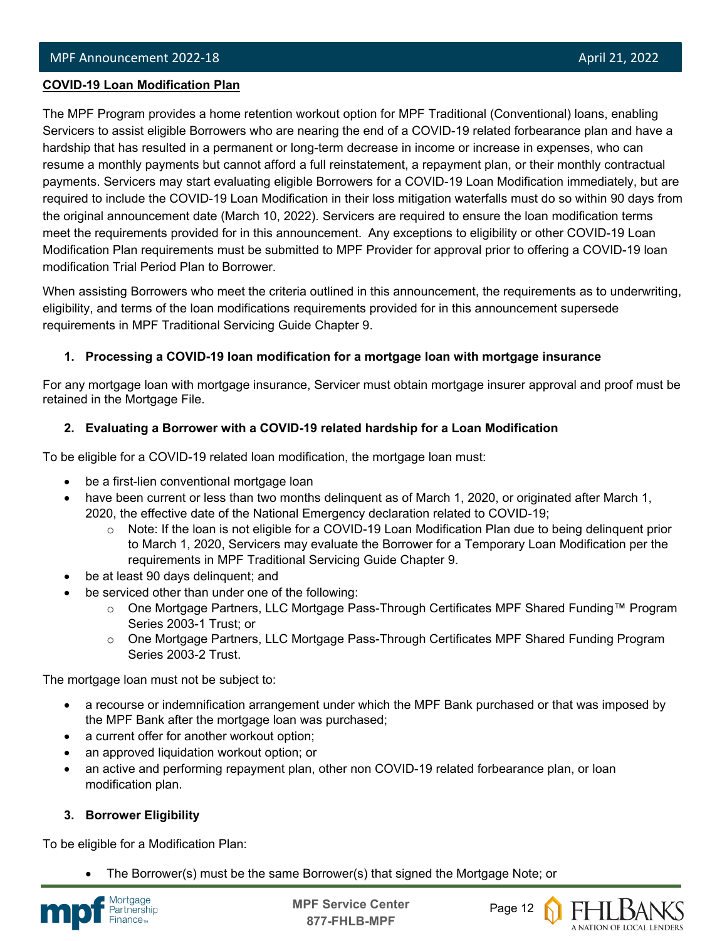#### l **COVID-19 Loan Modification Plan**

The MPF Program provides a home retention workout option for MPF Traditional (Conventional) loans, enabling Servicers to assist eligible Borrowers who are nearing the end of a COVID-19 related forbearance plan and have a hardship that has resulted in a permanent or long-term decrease in income or increase in expenses, who can resume a monthly payments but cannot afford a full reinstatement, a repayment plan, or their monthly contractual payments. Servicers may start evaluating eligible Borrowers for a COVID-19 Loan Modification immediately, but are required to include the COVID-19 Loan Modification in their loss mitigation waterfalls must do so within 90 days from the original announcement date (March 10, 2022). Servicers are required to ensure the loan modification terms meet the requirements provided for in this announcement. Any exceptions to eligibility or other COVID-19 Loan Modification Plan requirements must be submitted to MPF Provider for approval prior to offering a COVID-19 loan modification Trial Period Plan to Borrower.

When assisting Borrowers who meet the criteria outlined in this announcement, the requirements as to underwriting, eligibility, and terms of the loan modifications requirements provided for in this announcement supersede requirements in MPF Traditional Servicing Guide Chapter 9.

#### **1. Processing a COVID-19 loan modification for a mortgage loan with mortgage insurance**

For any mortgage loan with mortgage insurance, Servicer must obtain mortgage insurer approval and proof must be retained in the Mortgage File.

#### **2. Evaluating a Borrower with a COVID-19 related hardship for a Loan Modification**

To be eligible for a COVID-19 related loan modification, the mortgage loan must:

- be a first-lien conventional mortgage loan
- have been current or less than two months delinquent as of March 1, 2020, or originated after March 1, 2020, the effective date of the National Emergency declaration related to COVID-19;
	- $\circ$  Note: If the loan is not eligible for a COVID-19 Loan Modification Plan due to being delinquent prior to March 1, 2020, Servicers may evaluate the Borrower for a Temporary Loan Modification per the requirements in MPF Traditional Servicing Guide Chapter 9.
- be at least 90 days delinquent; and
- be serviced other than under one of the following:
	- o One Mortgage Partners, LLC Mortgage Pass-Through Certificates MPF Shared Funding™ Program Series 2003-1 Trust; or
	- o One Mortgage Partners, LLC Mortgage Pass-Through Certificates MPF Shared Funding Program Series 2003-2 Trust.

The mortgage loan must not be subject to:

- a recourse or indemnification arrangement under which the MPF Bank purchased or that was imposed by the MPF Bank after the mortgage loan was purchased;
- a current offer for another workout option;
- an approved liquidation workout option; or
- an active and performing repayment plan, other non COVID-19 related forbearance plan, or loan modification plan.

#### **3. Borrower Eligibility**

To be eligible for a Modification Plan:

• The Borrower(s) must be the same Borrower(s) that signed the Mortgage Note; or



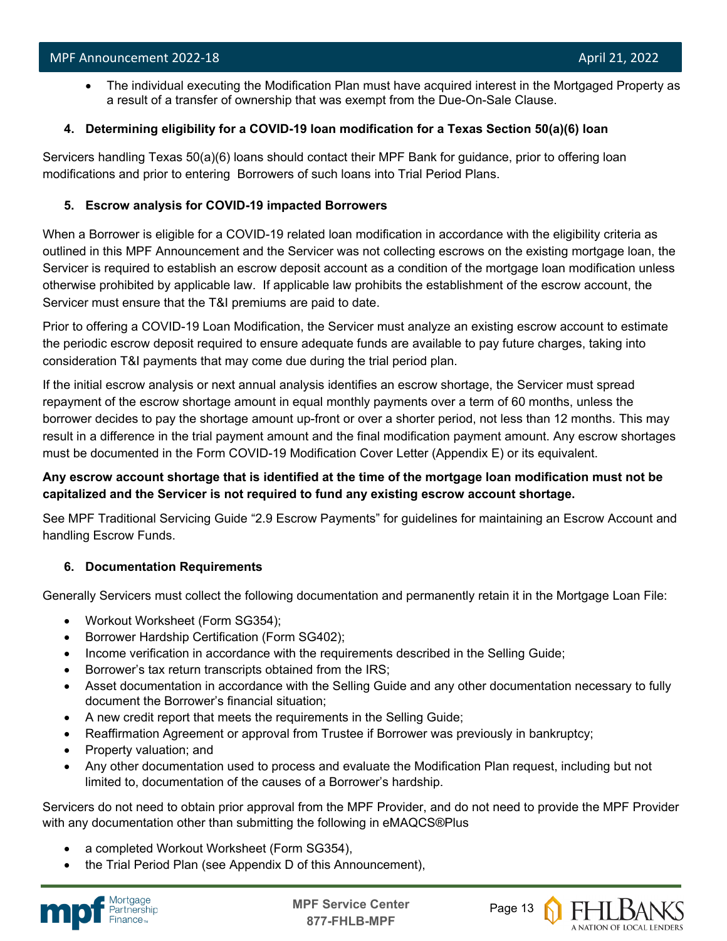• The individual executing the Modification Plan must have acquired interest in the Mortgaged Property as a result of a transfer of ownership that was exempt from the Due-On-Sale Clause.

#### **4. Determining eligibility for a COVID-19 loan modification for a Texas Section 50(a)(6) loan**

Servicers handling Texas 50(a)(6) loans should contact their MPF Bank for guidance, prior to offering loan modifications and prior to entering Borrowers of such loans into Trial Period Plans.

#### **5. Escrow analysis for COVID-19 impacted Borrowers**

When a Borrower is eligible for a COVID-19 related loan modification in accordance with the eligibility criteria as outlined in this MPF Announcement and the Servicer was not collecting escrows on the existing mortgage loan, the Servicer is required to establish an escrow deposit account as a condition of the mortgage loan modification unless otherwise prohibited by applicable law. If applicable law prohibits the establishment of the escrow account, the Servicer must ensure that the T&I premiums are paid to date.

Prior to offering a COVID-19 Loan Modification, the Servicer must analyze an existing escrow account to estimate the periodic escrow deposit required to ensure adequate funds are available to pay future charges, taking into consideration T&I payments that may come due during the trial period plan.

If the initial escrow analysis or next annual analysis identifies an escrow shortage, the Servicer must spread repayment of the escrow shortage amount in equal monthly payments over a term of 60 months, unless the borrower decides to pay the shortage amount up-front or over a shorter period, not less than 12 months. This may result in a difference in the trial payment amount and the final modification payment amount. Any escrow shortages must be documented in the Form COVID-19 Modification Cover Letter (Appendix E) or its equivalent.

#### **Any escrow account shortage that is identified at the time of the mortgage loan modification must not be capitalized and the Servicer is not required to fund any existing escrow account shortage.**

See MPF Traditional Servicing Guide "2.9 Escrow Payments" for guidelines for maintaining an Escrow Account and handling Escrow Funds.

#### **6. Documentation Requirements**

Generally Servicers must collect the following documentation and permanently retain it in the Mortgage Loan File:

- Workout Worksheet (Form SG354);
- Borrower Hardship Certification (Form SG402);
- Income verification in accordance with the requirements described in the Selling Guide;
- Borrower's tax return transcripts obtained from the IRS;
- Asset documentation in accordance with the Selling Guide and any other documentation necessary to fully document the Borrower's financial situation;
- A new credit report that meets the requirements in the Selling Guide;
- Reaffirmation Agreement or approval from Trustee if Borrower was previously in bankruptcy;
- Property valuation; and
- Any other documentation used to process and evaluate the Modification Plan request, including but not limited to, documentation of the causes of a Borrower's hardship.

Servicers do not need to obtain prior approval from the MPF Provider, and do not need to provide the MPF Provider with any documentation other than submitting the following in eMAQCS®Plus

- a completed Workout Worksheet (Form SG354),
- the Trial Period Plan (see Appendix D of this Announcement),



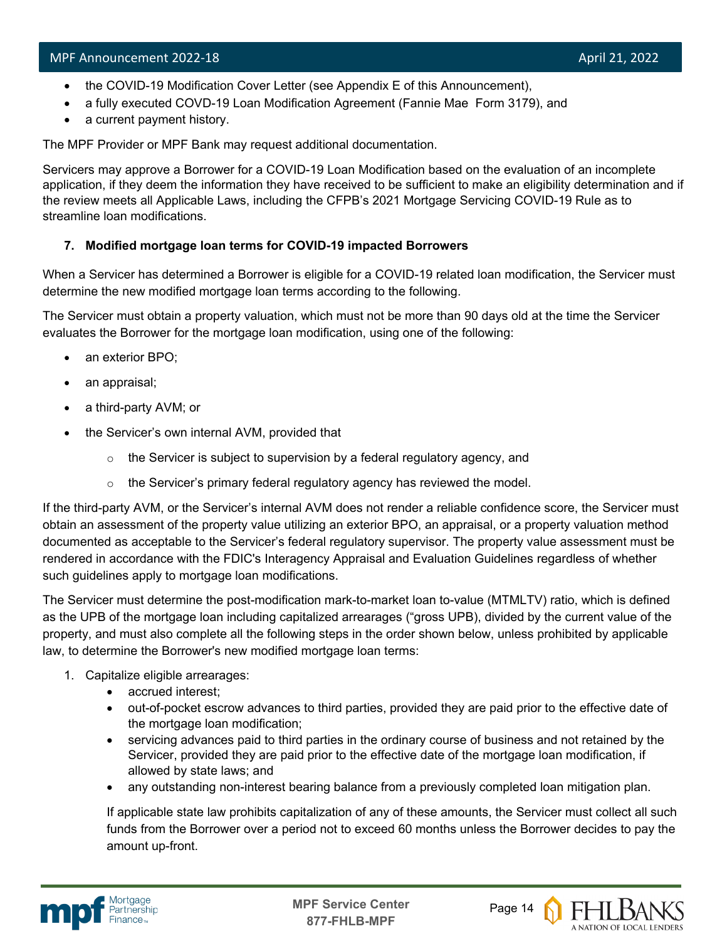- the COVID-19 Modification Cover Letter (see Appendix E of this Announcement),
- a fully executed COVD-19 Loan Modification Agreement (Fannie Mae Form 3179), and
- a current payment history.

The MPF Provider or MPF Bank may request additional documentation.

Servicers may approve a Borrower for a COVID-19 Loan Modification based on the evaluation of an incomplete application, if they deem the information they have received to be sufficient to make an eligibility determination and if the review meets all Applicable Laws, including the CFPB's 2021 Mortgage Servicing COVID-19 Rule as to streamline loan modifications.

#### **7. Modified mortgage loan terms for COVID-19 impacted Borrowers**

When a Servicer has determined a Borrower is eligible for a COVID-19 related loan modification, the Servicer must determine the new modified mortgage loan terms according to the following.

The Servicer must obtain a property valuation, which must not be more than 90 days old at the time the Servicer evaluates the Borrower for the mortgage loan modification, using one of the following:

- an exterior BPO;
- an appraisal;
- a third-party AVM; or
- the Servicer's own internal AVM, provided that
	- $\circ$  the Servicer is subject to supervision by a federal regulatory agency, and
	- $\circ$  the Servicer's primary federal regulatory agency has reviewed the model.

If the third-party AVM, or the Servicer's internal AVM does not render a reliable confidence score, the Servicer must obtain an assessment of the property value utilizing an exterior BPO, an appraisal, or a property valuation method documented as acceptable to the Servicer's federal regulatory supervisor. The property value assessment must be rendered in accordance with the FDIC's Interagency Appraisal and Evaluation Guidelines regardless of whether such guidelines apply to mortgage loan modifications.

The Servicer must determine the post-modification mark-to-market loan to-value (MTMLTV) ratio, which is defined as the UPB of the mortgage loan including capitalized arrearages ("gross UPB), divided by the current value of the property, and must also complete all the following steps in the order shown below, unless prohibited by applicable law, to determine the Borrower's new modified mortgage loan terms:

- 1. Capitalize eligible arrearages:
	- accrued interest;
	- out-of-pocket escrow advances to third parties, provided they are paid prior to the effective date of the mortgage loan modification;
	- servicing advances paid to third parties in the ordinary course of business and not retained by the Servicer, provided they are paid prior to the effective date of the mortgage loan modification, if allowed by state laws; and
	- any outstanding non-interest bearing balance from a previously completed loan mitigation plan.

If applicable state law prohibits capitalization of any of these amounts, the Servicer must collect all such funds from the Borrower over a period not to exceed 60 months unless the Borrower decides to pay the amount up-front.



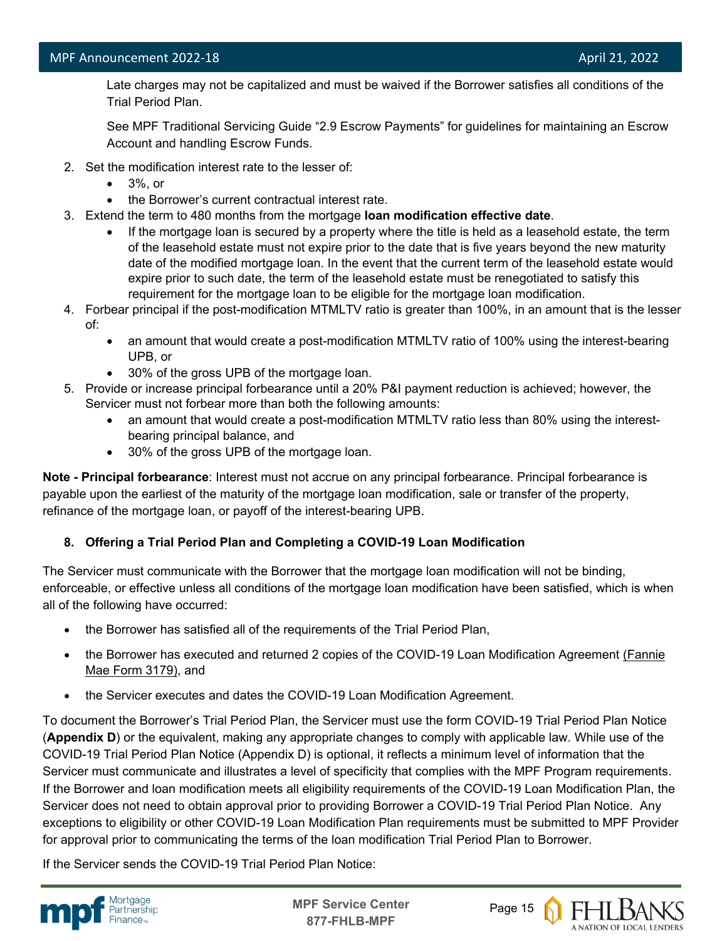Late charges may not be capitalized and must be waived if the Borrower satisfies all conditions of the Trial Period Plan.

See MPF Traditional Servicing Guide "2.9 Escrow Payments" for guidelines for maintaining an Escrow Account and handling Escrow Funds.

- 2. Set the modification interest rate to the lesser of:
	- 3%, or
	- the Borrower's current contractual interest rate.
- 3. Extend the term to 480 months from the mortgage **loan modification effective date**.
	- If the mortgage loan is secured by a property where the title is held as a leasehold estate, the term of the leasehold estate must not expire prior to the date that is five years beyond the new maturity date of the modified mortgage loan. In the event that the current term of the leasehold estate would expire prior to such date, the term of the leasehold estate must be renegotiated to satisfy this requirement for the mortgage loan to be eligible for the mortgage loan modification.
- 4. Forbear principal if the post-modification MTMLTV ratio is greater than 100%, in an amount that is the lesser of:
	- an amount that would create a post-modification MTMLTV ratio of 100% using the interest-bearing UPB, or
	- 30% of the gross UPB of the mortgage loan.
- 5. Provide or increase principal forbearance until a 20% P&I payment reduction is achieved; however, the Servicer must not forbear more than both the following amounts:
	- an amount that would create a post-modification MTMLTV ratio less than 80% using the interestbearing principal balance, and
	- 30% of the gross UPB of the mortgage loan.

**Note - Principal forbearance**: Interest must not accrue on any principal forbearance. Principal forbearance is payable upon the earliest of the maturity of the mortgage loan modification, sale or transfer of the property, refinance of the mortgage loan, or payoff of the interest-bearing UPB.

#### **8. Offering a Trial Period Plan and Completing a COVID-19 Loan Modification**

The Servicer must communicate with the Borrower that the mortgage loan modification will not be binding, enforceable, or effective unless all conditions of the mortgage loan modification have been satisfied, which is when all of the following have occurred:

- the Borrower has satisfied all of the requirements of the Trial Period Plan,
- the Borrower has executed and returned 2 copies of the COVID-19 Loan Modification Agreement [\(Fannie](https://singlefamily.fanniemae.com/media/document/pdf/loan-modification-agreement-form-3179-pdf)  [Mae Form 3179\),](https://singlefamily.fanniemae.com/media/document/pdf/loan-modification-agreement-form-3179-pdf) and
- the Servicer executes and dates the COVID-19 Loan Modification Agreement.

To document the Borrower's Trial Period Plan, the Servicer must use the form COVID-19 Trial Period Plan Notice (**Appendix D**) or the equivalent, making any appropriate changes to comply with applicable law. While use of the COVID-19 Trial Period Plan Notice (Appendix D) is optional, it reflects a minimum level of information that the Servicer must communicate and illustrates a level of specificity that complies with the MPF Program requirements. If the Borrower and loan modification meets all eligibility requirements of the COVID-19 Loan Modification Plan, the Servicer does not need to obtain approval prior to providing Borrower a COVID-19 Trial Period Plan Notice. Any exceptions to eligibility or other COVID-19 Loan Modification Plan requirements must be submitted to MPF Provider for approval prior to communicating the terms of the loan modification Trial Period Plan to Borrower.

If the Servicer sends the COVID-19 Trial Period Plan Notice:



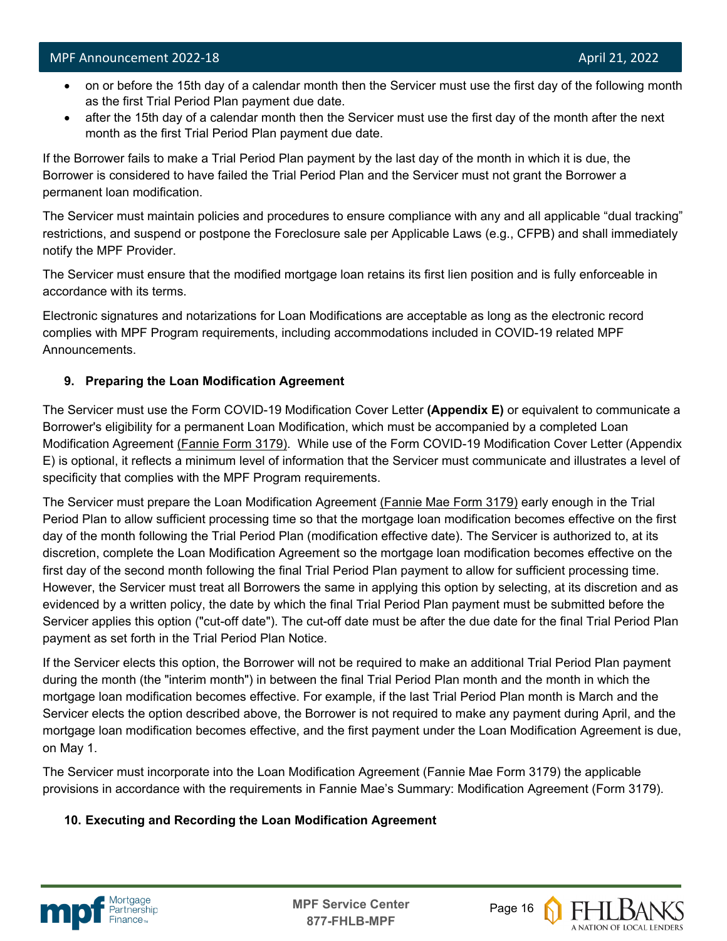- on or before the 15th day of a calendar month then the Servicer must use the first day of the following month as the first Trial Period Plan payment due date.
- after the 15th day of a calendar month then the Servicer must use the first day of the month after the next month as the first Trial Period Plan payment due date.

If the Borrower fails to make a Trial Period Plan payment by the last day of the month in which it is due, the Borrower is considered to have failed the Trial Period Plan and the Servicer must not grant the Borrower a permanent loan modification.

The Servicer must maintain policies and procedures to ensure compliance with any and all applicable "dual tracking" restrictions, and suspend or postpone the Foreclosure sale per Applicable Laws (e.g., CFPB) and shall immediately notify the MPF Provider.

The Servicer must ensure that the modified mortgage loan retains its first lien position and is fully enforceable in accordance with its terms.

Electronic signatures and notarizations for Loan Modifications are acceptable as long as the electronic record complies with MPF Program requirements, including accommodations included in COVID-19 related MPF Announcements.

#### **9. Preparing the Loan Modification Agreement**

The Servicer must use the Form COVID-19 Modification Cover Letter **(Appendix E)** or equivalent to communicate a Borrower's eligibility for a permanent Loan Modification, which must be accompanied by a completed Loan Modification Agreement [\(Fannie Form 3179\).](https://singlefamily.fanniemae.com/media/document/pdf/loan-modification-agreement-form-3179-pdf) While use of the Form COVID-19 Modification Cover Letter (Appendix E) is optional, it reflects a minimum level of information that the Servicer must communicate and illustrates a level of specificity that complies with the MPF Program requirements.

The Servicer must prepare the Loan Modification Agreement [\(Fannie Mae Form 3179\)](https://singlefamily.fanniemae.com/media/document/pdf/loan-modification-agreement-form-3179-pdf) early enough in the Trial Period Plan to allow sufficient processing time so that the mortgage loan modification becomes effective on the first day of the month following the Trial Period Plan (modification effective date). The Servicer is authorized to, at its discretion, complete the Loan Modification Agreement so the mortgage loan modification becomes effective on the first day of the second month following the final Trial Period Plan payment to allow for sufficient processing time. However, the Servicer must treat all Borrowers the same in applying this option by selecting, at its discretion and as evidenced by a written policy, the date by which the final Trial Period Plan payment must be submitted before the Servicer applies this option ("cut-off date"). The cut-off date must be after the due date for the final Trial Period Plan payment as set forth in the Trial Period Plan Notice.

If the Servicer elects this option, the Borrower will not be required to make an additional Trial Period Plan payment during the month (the "interim month") in between the final Trial Period Plan month and the month in which the mortgage loan modification becomes effective. For example, if the last Trial Period Plan month is March and the Servicer elects the option described above, the Borrower is not required to make any payment during April, and the mortgage loan modification becomes effective, and the first payment under the Loan Modification Agreement is due, on May 1.

The Servicer must incorporate into the Loan Modification Agreement (Fannie Mae Form 3179) the applicable provisions in accordance with the requirements in Fannie Mae's Summary: Modification Agreement (Form 3179).

#### **10. Executing and Recording the Loan Modification Agreement**



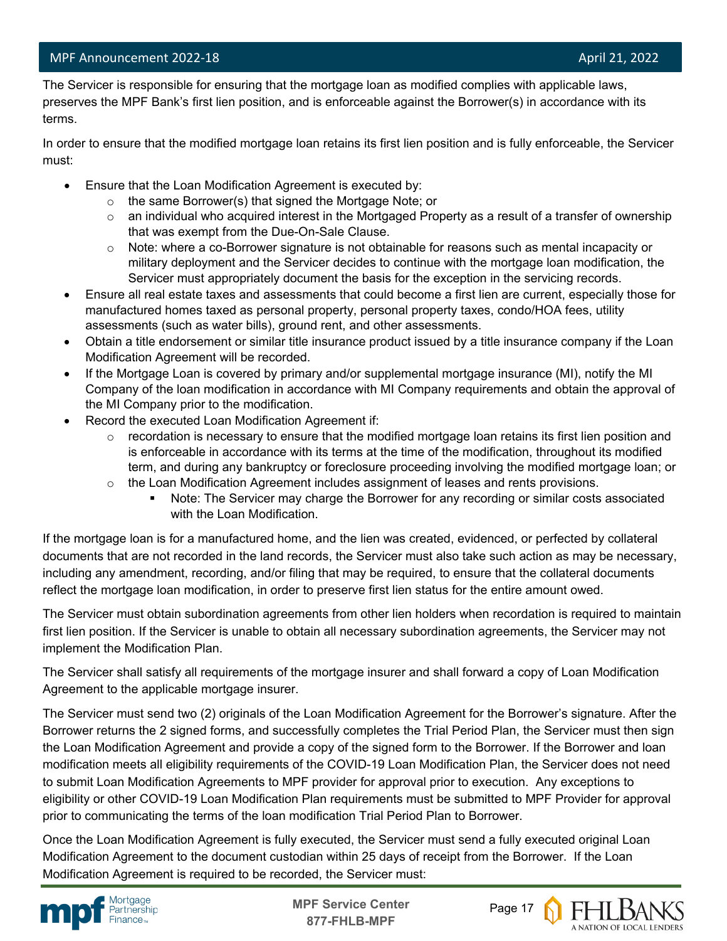l The Servicer is responsible for ensuring that the mortgage loan as modified complies with applicable laws, preserves the MPF Bank's first lien position, and is enforceable against the Borrower(s) in accordance with its terms.

In order to ensure that the modified mortgage loan retains its first lien position and is fully enforceable, the Servicer must:

- Ensure that the Loan Modification Agreement is executed by:
	- o the same Borrower(s) that signed the Mortgage Note; or
	- $\circ$  an individual who acquired interest in the Mortgaged Property as a result of a transfer of ownership that was exempt from the Due-On-Sale Clause.
	- $\circ$  Note: where a co-Borrower signature is not obtainable for reasons such as mental incapacity or military deployment and the Servicer decides to continue with the mortgage loan modification, the Servicer must appropriately document the basis for the exception in the servicing records.
- Ensure all real estate taxes and assessments that could become a first lien are current, especially those for manufactured homes taxed as personal property, personal property taxes, condo/HOA fees, utility assessments (such as water bills), ground rent, and other assessments.
- Obtain a title endorsement or similar title insurance product issued by a title insurance company if the Loan Modification Agreement will be recorded.
- If the Mortgage Loan is covered by primary and/or supplemental mortgage insurance (MI), notify the MI Company of the loan modification in accordance with MI Company requirements and obtain the approval of the MI Company prior to the modification.
- Record the executed Loan Modification Agreement if:
	- $\circ$  recordation is necessary to ensure that the modified mortgage loan retains its first lien position and is enforceable in accordance with its terms at the time of the modification, throughout its modified term, and during any bankruptcy or foreclosure proceeding involving the modified mortgage loan; or
	- $\circ$  the Loan Modification Agreement includes assignment of leases and rents provisions.
		- Note: The Servicer may charge the Borrower for any recording or similar costs associated with the Loan Modification.

If the mortgage loan is for a manufactured home, and the lien was created, evidenced, or perfected by collateral documents that are not recorded in the land records, the Servicer must also take such action as may be necessary, including any amendment, recording, and/or filing that may be required, to ensure that the collateral documents reflect the mortgage loan modification, in order to preserve first lien status for the entire amount owed.

The Servicer must obtain subordination agreements from other lien holders when recordation is required to maintain first lien position. If the Servicer is unable to obtain all necessary subordination agreements, the Servicer may not implement the Modification Plan.

The Servicer shall satisfy all requirements of the mortgage insurer and shall forward a copy of Loan Modification Agreement to the applicable mortgage insurer.

The Servicer must send two (2) originals of the Loan Modification Agreement for the Borrower's signature. After the Borrower returns the 2 signed forms, and successfully completes the Trial Period Plan, the Servicer must then sign the Loan Modification Agreement and provide a copy of the signed form to the Borrower. If the Borrower and loan modification meets all eligibility requirements of the COVID-19 Loan Modification Plan, the Servicer does not need to submit Loan Modification Agreements to MPF provider for approval prior to execution. Any exceptions to eligibility or other COVID-19 Loan Modification Plan requirements must be submitted to MPF Provider for approval prior to communicating the terms of the loan modification Trial Period Plan to Borrower.

Once the Loan Modification Agreement is fully executed, the Servicer must send a fully executed original Loan Modification Agreement to the document custodian within 25 days of receipt from the Borrower. If the Loan Modification Agreement is required to be recorded, the Servicer must:



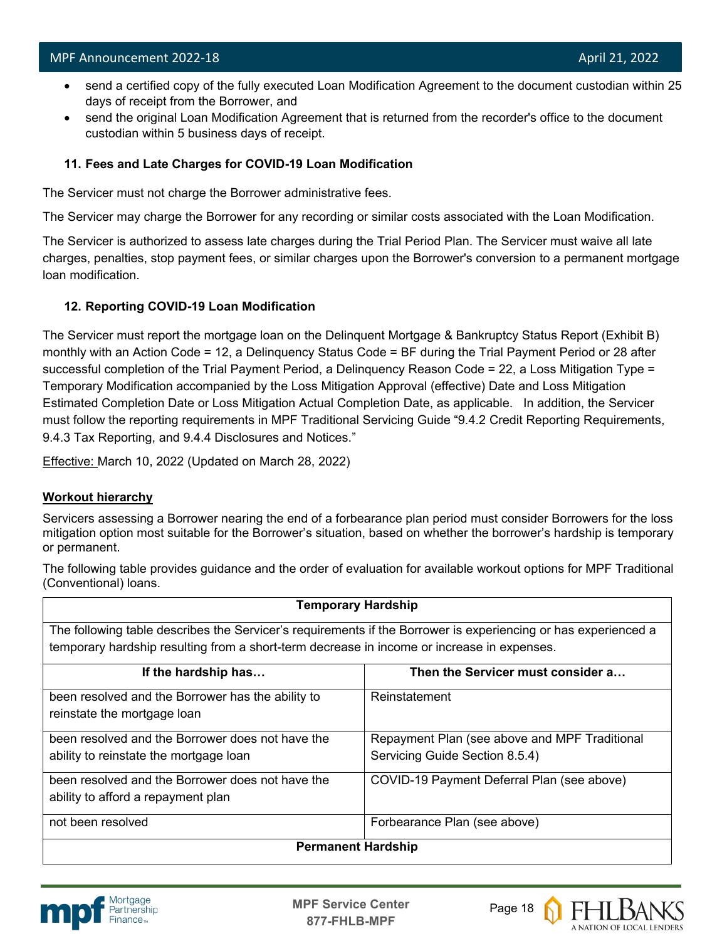- send a certified copy of the fully executed Loan Modification Agreement to the document custodian within 25 days of receipt from the Borrower, and
- send the original Loan Modification Agreement that is returned from the recorder's office to the document custodian within 5 business days of receipt.

#### **11. Fees and Late Charges for COVID-19 Loan Modification**

The Servicer must not charge the Borrower administrative fees.

The Servicer may charge the Borrower for any recording or similar costs associated with the Loan Modification.

The Servicer is authorized to assess late charges during the Trial Period Plan. The Servicer must waive all late charges, penalties, stop payment fees, or similar charges upon the Borrower's conversion to a permanent mortgage loan modification.

#### **12. Reporting COVID-19 Loan Modification**

The Servicer must report the mortgage loan on the Delinquent Mortgage & Bankruptcy Status Report (Exhibit B) monthly with an Action Code = 12, a Delinquency Status Code = BF during the Trial Payment Period or 28 after successful completion of the Trial Payment Period, a Delinquency Reason Code = 22, a Loss Mitigation Type = Temporary Modification accompanied by the Loss Mitigation Approval (effective) Date and Loss Mitigation Estimated Completion Date or Loss Mitigation Actual Completion Date, as applicable. In addition, the Servicer must follow the reporting requirements in MPF Traditional Servicing Guide "9.4.2 Credit Reporting Requirements, 9.4.3 Tax Reporting, and 9.4.4 Disclosures and Notices."

Effective: March 10, 2022 (Updated on March 28, 2022)

#### **Workout hierarchy**

Servicers assessing a Borrower nearing the end of a forbearance plan period must consider Borrowers for the loss mitigation option most suitable for the Borrower's situation, based on whether the borrower's hardship is temporary or permanent.

The following table provides guidance and the order of evaluation for available workout options for MPF Traditional (Conventional) loans.

| <b>Temporary Hardship</b>                                                                                      |                                               |  |
|----------------------------------------------------------------------------------------------------------------|-----------------------------------------------|--|
| The following table describes the Servicer's requirements if the Borrower is experiencing or has experienced a |                                               |  |
| temporary hardship resulting from a short-term decrease in income or increase in expenses.                     |                                               |  |
| If the hardship has                                                                                            | Then the Servicer must consider a             |  |
| been resolved and the Borrower has the ability to                                                              | Reinstatement                                 |  |
| reinstate the mortgage loan                                                                                    |                                               |  |
| been resolved and the Borrower does not have the                                                               | Repayment Plan (see above and MPF Traditional |  |
| ability to reinstate the mortgage loan                                                                         | Servicing Guide Section 8.5.4)                |  |
| been resolved and the Borrower does not have the                                                               | COVID-19 Payment Deferral Plan (see above)    |  |
| ability to afford a repayment plan                                                                             |                                               |  |
| not been resolved                                                                                              | Forbearance Plan (see above)                  |  |
| <b>Permanent Hardship</b>                                                                                      |                                               |  |



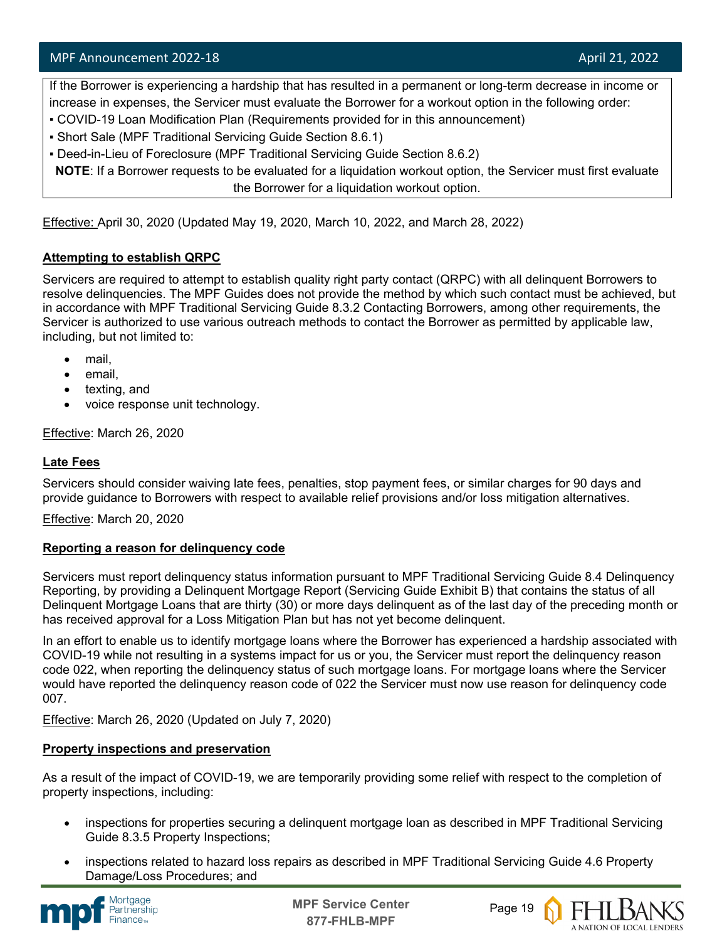If the Borrower is experiencing a hardship that has resulted in a permanent or long-term decrease in income or increase in expenses, the Servicer must evaluate the Borrower for a workout option in the following order:

- COVID-19 Loan Modification Plan (Requirements provided for in this announcement)
- Short Sale (MPF Traditional Servicing Guide Section 8.6.1)
- Deed-in-Lieu of Foreclosure (MPF Traditional Servicing Guide Section 8.6.2)

**NOTE**: If a Borrower requests to be evaluated for a liquidation workout option, the Servicer must first evaluate the Borrower for a liquidation workout option.

Effective: April 30, 2020 (Updated May 19, 2020, March 10, 2022, and March 28, 2022)

#### **Attempting to establish QRPC**

Servicers are required to attempt to establish quality right party contact (QRPC) with all delinquent Borrowers to resolve delinquencies. The MPF Guides does not provide the method by which such contact must be achieved, but in accordance with MPF Traditional Servicing Guide 8.3.2 Contacting Borrowers, among other requirements, the Servicer is authorized to use various outreach methods to contact the Borrower as permitted by applicable law, including, but not limited to:

- mail,
- email,
- texting, and
- voice response unit technology.

Effective: March 26, 2020

#### **Late Fees**

Servicers should consider waiving late fees, penalties, stop payment fees, or similar charges for 90 days and provide guidance to Borrowers with respect to available relief provisions and/or loss mitigation alternatives.

Effective: March 20, 2020

#### **Reporting a reason for delinquency code**

Servicers must report delinquency status information pursuant to MPF Traditional Servicing Guide 8.4 Delinquency Reporting, by providing a Delinquent Mortgage Report (Servicing Guide Exhibit B) that contains the status of all Delinquent Mortgage Loans that are thirty (30) or more days delinquent as of the last day of the preceding month or has received approval for a Loss Mitigation Plan but has not yet become delinquent.

In an effort to enable us to identify mortgage loans where the Borrower has experienced a hardship associated with COVID-19 while not resulting in a systems impact for us or you, the Servicer must report the delinquency reason code 022, when reporting the delinquency status of such mortgage loans. For mortgage loans where the Servicer would have reported the delinquency reason code of 022 the Servicer must now use reason for delinquency code 007.

Effective: March 26, 2020 (Updated on July 7, 2020)

#### **Property inspections and preservation**

As a result of the impact of COVID-19, we are temporarily providing some relief with respect to the completion of property inspections, including:

- inspections for properties securing a delinquent mortgage loan as described in MPF Traditional Servicing Guide 8.3.5 Property Inspections;
- inspections related to hazard loss repairs as described in MPF Traditional Servicing Guide 4.6 Property Damage/Loss Procedures; and



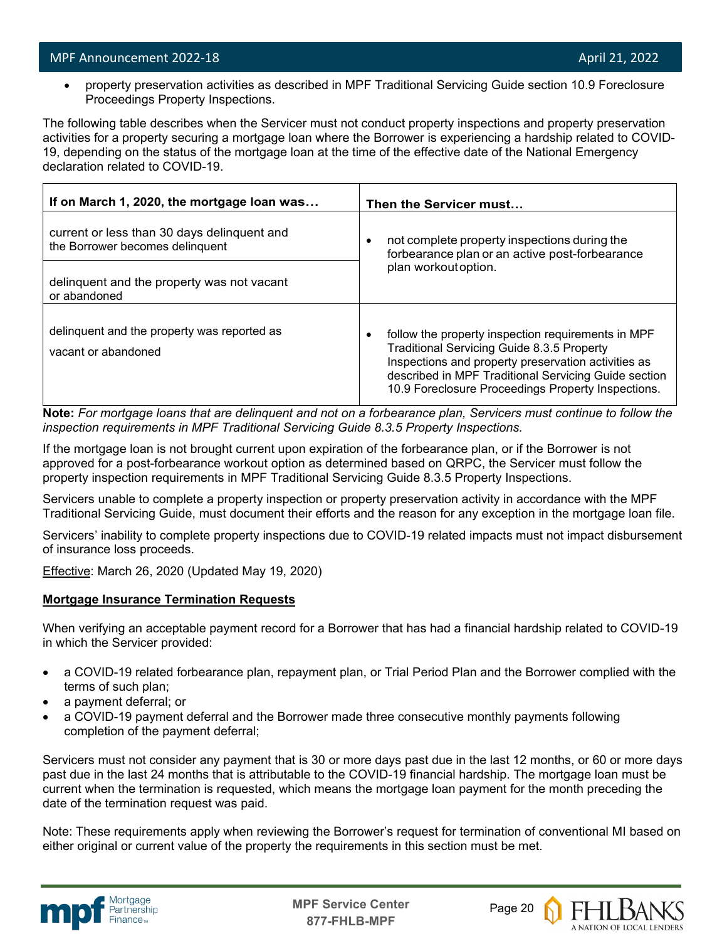• property preservation activities as described in MPF Traditional Servicing Guide section 10.9 Foreclosure Proceedings Property Inspections.

The following table describes when the Servicer must not conduct property inspections and property preservation activities for a property securing a mortgage loan where the Borrower is experiencing a hardship related to COVID-19, depending on the status of the mortgage loan at the time of the effective date of the National Emergency declaration related to COVID-19.

| If on March 1, 2020, the mortgage loan was                                     | Then the Servicer must                                                                                                                                                                                                                                                       |  |
|--------------------------------------------------------------------------------|------------------------------------------------------------------------------------------------------------------------------------------------------------------------------------------------------------------------------------------------------------------------------|--|
| current or less than 30 days delinguent and<br>the Borrower becomes delinquent | not complete property inspections during the<br>٠<br>forbearance plan or an active post-forbearance                                                                                                                                                                          |  |
| delinquent and the property was not vacant<br>or abandoned                     | plan workout option.                                                                                                                                                                                                                                                         |  |
| delinquent and the property was reported as<br>vacant or abandoned             | follow the property inspection requirements in MPF<br><b>Traditional Servicing Guide 8.3.5 Property</b><br>Inspections and property preservation activities as<br>described in MPF Traditional Servicing Guide section<br>10.9 Foreclosure Proceedings Property Inspections. |  |

**Note:** *For mortgage loans that are delinquent and not on a forbearance plan, Servicers must continue to follow the inspection requirements in MPF Traditional Servicing Guide 8.3.5 Property Inspections.*

If the mortgage loan is not brought current upon expiration of the forbearance plan, or if the Borrower is not approved for a post-forbearance workout option as determined based on QRPC, the Servicer must follow the property inspection requirements in MPF Traditional Servicing Guide 8.3.5 Property Inspections.

Servicers unable to complete a property inspection or property preservation activity in accordance with the MPF Traditional Servicing Guide, must document their efforts and the reason for any exception in the mortgage loan file.

Servicers' inability to complete property inspections due to COVID-19 related impacts must not impact disbursement of insurance loss proceeds.

Effective: March 26, 2020 (Updated May 19, 2020)

#### **Mortgage Insurance Termination Requests**

When verifying an acceptable payment record for a Borrower that has had a financial hardship related to COVID-19 in which the Servicer provided:

- a COVID-19 related forbearance plan, repayment plan, or Trial Period Plan and the Borrower complied with the terms of such plan;
- a payment deferral; or
- a COVID-19 payment deferral and the Borrower made three consecutive monthly payments following completion of the payment deferral;

Servicers must not consider any payment that is 30 or more days past due in the last 12 months, or 60 or more days past due in the last 24 months that is attributable to the COVID-19 financial hardship. The mortgage loan must be current when the termination is requested, which means the mortgage loan payment for the month preceding the date of the termination request was paid.

Note: These requirements apply when reviewing the Borrower's request for termination of conventional MI based on either original or current value of the property the requirements in this section must be met.



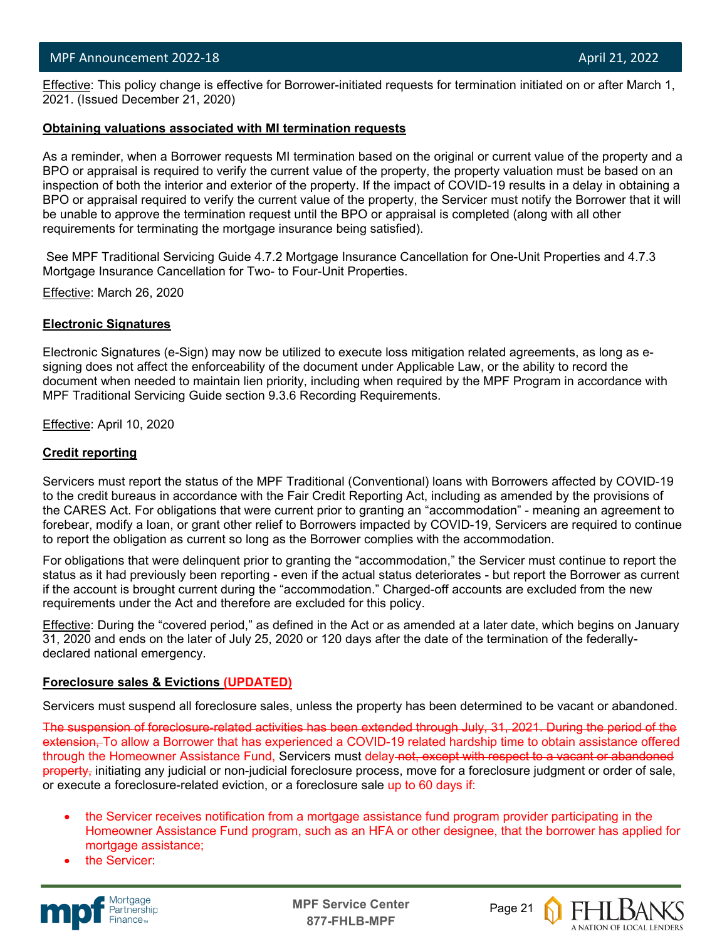l Effective: This policy change is effective for Borrower-initiated requests for termination initiated on or after March 1, 2021. (Issued December 21, 2020)

#### **Obtaining valuations associated with MI termination requests**

As a reminder, when a Borrower requests MI termination based on the original or current value of the property and a BPO or appraisal is required to verify the current value of the property, the property valuation must be based on an inspection of both the interior and exterior of the property. If the impact of COVID-19 results in a delay in obtaining a BPO or appraisal required to verify the current value of the property, the Servicer must notify the Borrower that it will be unable to approve the termination request until the BPO or appraisal is completed (along with all other requirements for terminating the mortgage insurance being satisfied).

See MPF Traditional Servicing Guide 4.7.2 Mortgage Insurance Cancellation for One-Unit Properties and 4.7.3 Mortgage Insurance Cancellation for Two- to Four-Unit Properties.

Effective: March 26, 2020

#### **Electronic Signatures**

Electronic Signatures (e-Sign) may now be utilized to execute loss mitigation related agreements, as long as esigning does not affect the enforceability of the document under Applicable Law, or the ability to record the document when needed to maintain lien priority, including when required by the MPF Program in accordance with MPF Traditional Servicing Guide section 9.3.6 Recording Requirements.

Effective: April 10, 2020

#### **Credit reporting**

Servicers must report the status of the MPF Traditional (Conventional) loans with Borrowers affected by COVID-19 to the credit bureaus in accordance with the Fair Credit Reporting Act, including as amended by the provisions of the CARES Act. For obligations that were current prior to granting an "accommodation" - meaning an agreement to forebear, modify a loan, or grant other relief to Borrowers impacted by COVID-19, Servicers are required to continue to report the obligation as current so long as the Borrower complies with the accommodation.

For obligations that were delinquent prior to granting the "accommodation," the Servicer must continue to report the status as it had previously been reporting - even if the actual status deteriorates - but report the Borrower as current if the account is brought current during the "accommodation." Charged-off accounts are excluded from the new requirements under the Act and therefore are excluded for this policy.

Effective: During the "covered period," as defined in the Act or as amended at a later date, which begins on January 31, 2020 and ends on the later of July 25, 2020 or 120 days after the date of the termination of the federallydeclared national emergency.

#### **Foreclosure sales & Evictions (UPDATED)**

Servicers must suspend all foreclosure sales, unless the property has been determined to be vacant or abandoned.

The suspension of foreclosure-related activities has been extended through July, 31, 2021. During the period of the extension. To allow a Borrower that has experienced a COVID-19 related hardship time to obtain assistance offered through the Homeowner Assistance Fund, Servicers must delay not, except with respect to a vacant or abandoned property, initiating any judicial or non-judicial foreclosure process, move for a foreclosure judgment or order of sale, or execute a foreclosure-related eviction, or a foreclosure sale up to 60 days if:

- the Servicer receives notification from a mortgage assistance fund program provider participating in the Homeowner Assistance Fund program, such as an HFA or other designee, that the borrower has applied for mortgage assistance;
- the Servicer:



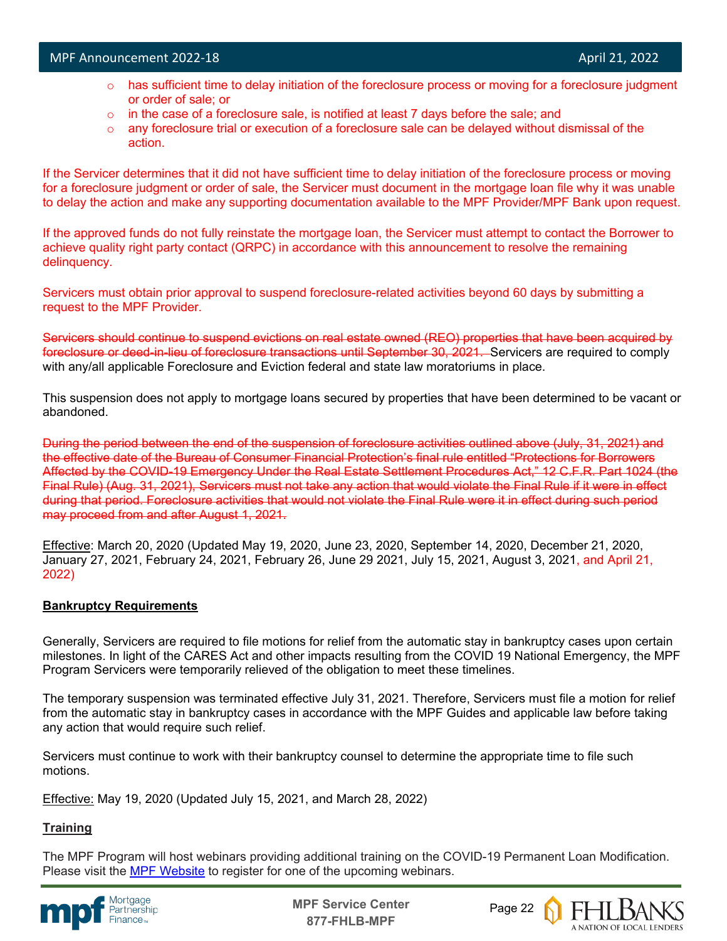- $\circ$  has sufficient time to delay initiation of the foreclosure process or moving for a foreclosure judgment or order of sale; or
- $\circ$  in the case of a foreclosure sale, is notified at least 7 days before the sale; and
- $\circ$  any foreclosure trial or execution of a foreclosure sale can be delayed without dismissal of the action.

If the Servicer determines that it did not have sufficient time to delay initiation of the foreclosure process or moving for a foreclosure judgment or order of sale, the Servicer must document in the mortgage loan file why it was unable to delay the action and make any supporting documentation available to the MPF Provider/MPF Bank upon request.

If the approved funds do not fully reinstate the mortgage loan, the Servicer must attempt to contact the Borrower to achieve quality right party contact (QRPC) in accordance with this announcement to resolve the remaining delinquency.

Servicers must obtain prior approval to suspend foreclosure-related activities beyond 60 days by submitting a request to the MPF Provider.

Servicers should continue to suspend evictions on real estate owned (REO) properties that have been acquired by foreclosure or deed-in-lieu of foreclosure transactions until September 30, 2021. Servicers are required to comply with any/all applicable Foreclosure and Eviction federal and state law moratoriums in place.

This suspension does not apply to mortgage loans secured by properties that have been determined to be vacant or abandoned.

During the period between the end of the suspension of foreclosure activities outlined above (July, 31, 2021) and the effective date of the Bureau of Consumer Financial Protection's final rule entitled "Protections for Borrowers Affected by the COVID-19 Emergency Under the Real Estate Settlement Procedures Act," 12 C.F.R. Part 1024 (the Final Rule) (Aug. 31, 2021), Servicers must not take any action that would violate the Final Rule if it were in effect during that period. Foreclosure activities that would not violate the Final Rule were it in effect during such period may proceed from and after August 1, 2021.

Effective: March 20, 2020 (Updated May 19, 2020, June 23, 2020, September 14, 2020, December 21, 2020, January 27, 2021, February 24, 2021, February 26, June 29 2021, July 15, 2021, August 3, 2021, and April 21, 2022)

#### **Bankruptcy Requirements**

Generally, Servicers are required to file motions for relief from the automatic stay in bankruptcy cases upon certain milestones. In light of the CARES Act and other impacts resulting from the COVID 19 National Emergency, the MPF Program Servicers were temporarily relieved of the obligation to meet these timelines.

The temporary suspension was terminated effective July 31, 2021. Therefore, Servicers must file a motion for relief from the automatic stay in bankruptcy cases in accordance with the MPF Guides and applicable law before taking any action that would require such relief.

Servicers must continue to work with their bankruptcy counsel to determine the appropriate time to file such motions.

Effective: May 19, 2020 (Updated July 15, 2021, and March 28, 2022)

#### **Training**

The MPF Program will host webinars providing additional training on the COVID-19 Permanent Loan Modification. Please visit the [MPF Website](https://www.fhlbmpf.com/education/upcoming-webinars) to register for one of the upcoming webinars.



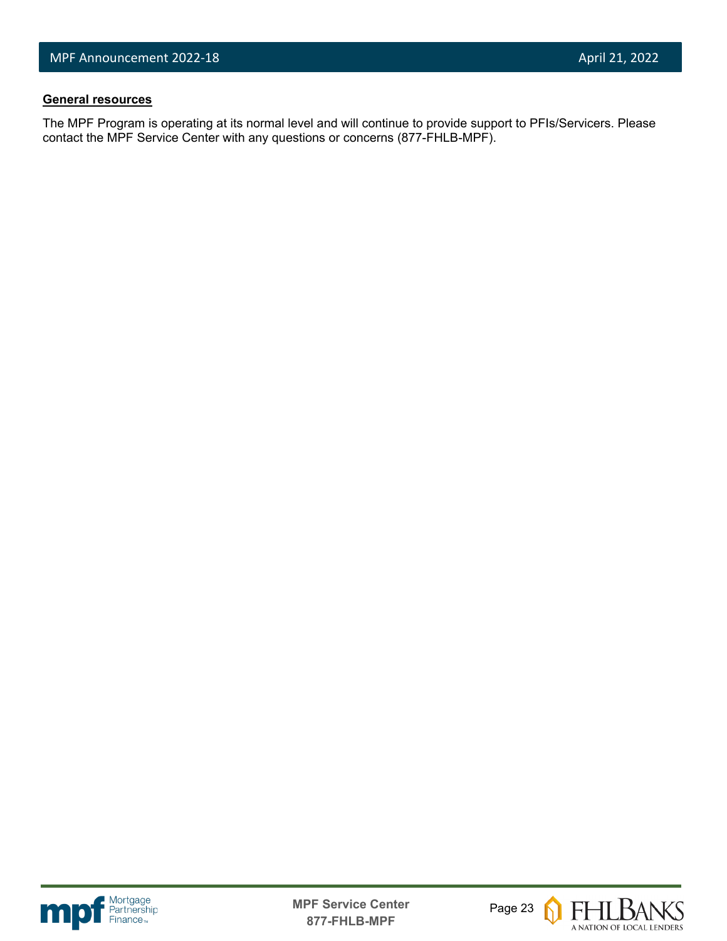#### **General resources**

l

The MPF Program is operating at its normal level and will continue to provide support to PFIs/Servicers. Please contact the MPF Service Center with any questions or concerns (877-FHLB-MPF).





**FHLBANKS** A NATION OF LOCAL LENDERS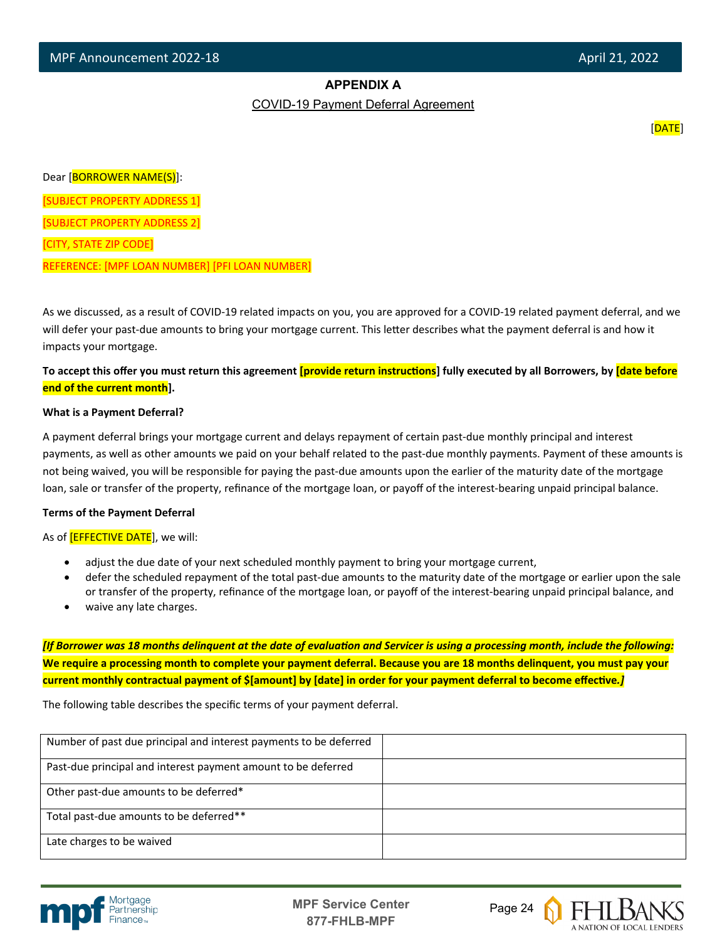#### **APPENDIX A**

COVID-19 Payment Deferral Agreement

[DATE]

Dear [BORROWER NAME(S)]:

[SUBJECT PROPERTY ADDRESS 1]

[SUBJECT PROPERTY ADDRESS 2]

[CITY, STATE ZIP CODE]

l

REFERENCE: [MPF LOAN NUMBER] [PFI LOAN NUMBER]

As we discussed, as a result of COVID-19 related impacts on you, you are approved for a COVID-19 related payment deferral, and we will defer your past-due amounts to bring your mortgage current. This letter describes what the payment deferral is and how it impacts your mortgage.

To accept this offer you must return this agreement **[provide return instructions**] fully executed by all Borrowers, by *date before* **end of the current month].**

#### **What is a Payment Deferral?**

A payment deferral brings your mortgage current and delays repayment of certain past-due monthly principal and interest payments, as well as other amounts we paid on your behalf related to the past-due monthly payments. Payment of these amounts is not being waived, you will be responsible for paying the past-due amounts upon the earlier of the maturity date of the mortgage loan, sale or transfer of the property, refinance of the mortgage loan, or payoff of the interest-bearing unpaid principal balance.

#### **Terms of the Payment Deferral**

As of **[EFFECTIVE DATE**], we will:

- adjust the due date of your next scheduled monthly payment to bring your mortgage current,
- defer the scheduled repayment of the total past-due amounts to the maturity date of the mortgage or earlier upon the sale or transfer of the property, refinance of the mortgage loan, or payoff of the interest-bearing unpaid principal balance, and
- waive any late charges.

*[If Borrower was 18 months delinquent at the date of evaluation and Servicer is using a processing month, include the following:* **We require a processing month to complete your payment deferral. Because you are 18 months delinquent, you must pay your**  current monthly contractual payment of \$[amount] by [date] in order for your payment deferral to become effective.*]* 

The following table describes the specific terms of your payment deferral.

| Number of past due principal and interest payments to be deferred |  |
|-------------------------------------------------------------------|--|
| Past-due principal and interest payment amount to be deferred     |  |
| Other past-due amounts to be deferred*                            |  |
| Total past-due amounts to be deferred**                           |  |
| Late charges to be waived                                         |  |



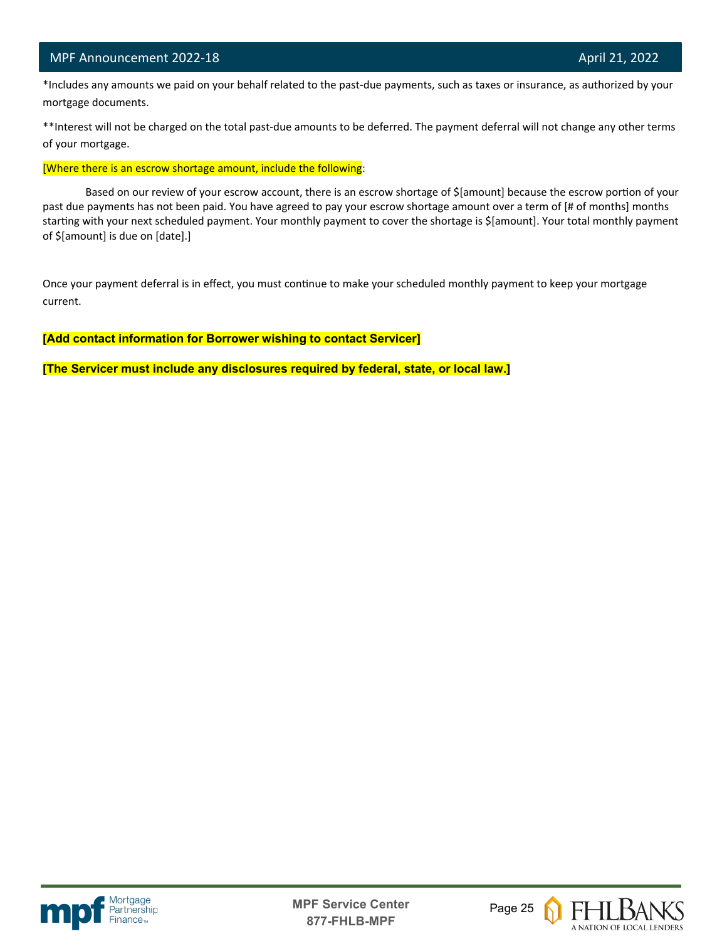l

 \*Includes any amounts we paid on your behalf related to the past-due payments, such as taxes or insurance, as authorized by your mortgage documents.

\*\*Interest will not be charged on the total past-due amounts to be deferred. The payment deferral will not change any other terms of your mortgage.

[Where there is an escrow shortage amount, include the following:

Based on our review of your escrow account, there is an escrow shortage of \$[amount] because the escrow portion of your past due payments has not been paid. You have agreed to pay your escrow shortage amount over a term of [# of months] months starting with your next scheduled payment. Your monthly payment to cover the shortage is \$[amount]. Your total monthly payment of \$[amount] is due on [date].]

Once your payment deferral is in effect, you must continue to make your scheduled monthly payment to keep your mortgage current.

**[Add contact information for Borrower wishing to contact Servicer]**

**[The Servicer must include any disclosures required by federal, state, or local law.]**



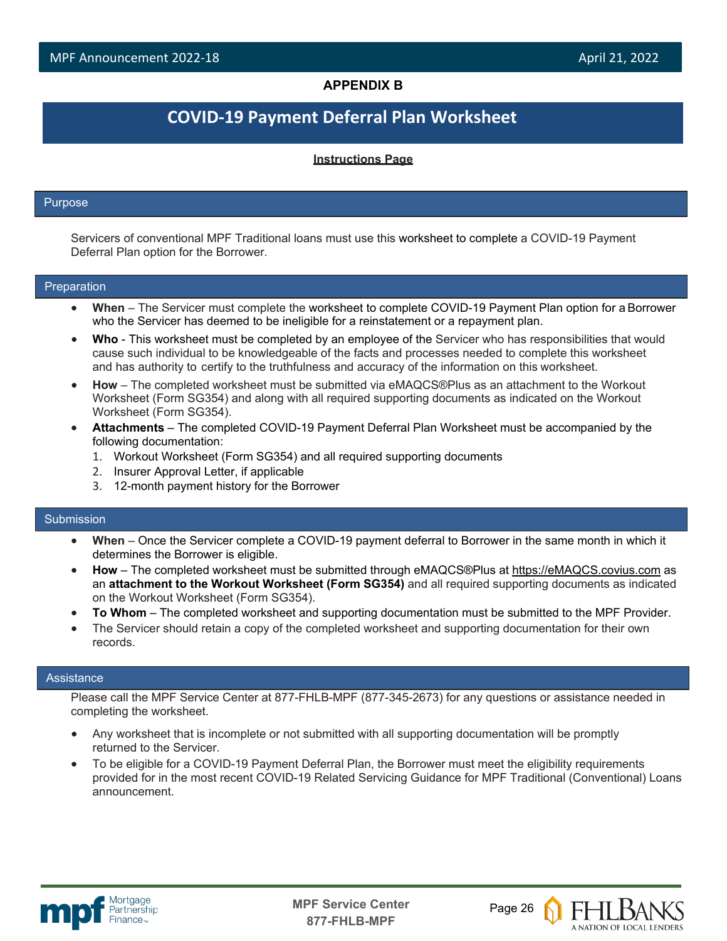#### **APPENDIX B**

### **COVID-19 Payment Deferral Plan Worksheet**

#### **Instructions Page**

#### Purpose

l

Servicers of conventional MPF Traditional loans must use this worksheet to complete a COVID-19 Payment Deferral Plan option for the Borrower.

#### Preparation

- **When**  The Servicer must complete the worksheet to complete COVID-19 Payment Plan option for a Borrower who the Servicer has deemed to be ineligible for a reinstatement or a repayment plan.
- **Who**  This worksheet must be completed by an employee of the Servicer who has responsibilities that would cause such individual to be knowledgeable of the facts and processes needed to complete this worksheet and has authority to certify to the truthfulness and accuracy of the information on this worksheet.
- **How**  The completed worksheet must be submitted via eMAQCS®Plus as an attachment to the Workout Worksheet (Form SG354) and along with all required supporting documents as indicated on the Workout Worksheet (Form SG354).
- **Attachments**  The completed COVID-19 Payment Deferral Plan Worksheet must be accompanied by the following documentation:
	- 1. Workout Worksheet (Form SG354) and all required supporting documents
	- 2. Insurer Approval Letter, if applicable
	- 3. 12-month payment history for the Borrower

#### Submission

- **When**  Once the Servicer complete a COVID-19 payment deferral to Borrower in the same month in which it determines the Borrower is eligible.
- **How**  The completed worksheet must be submitted through eMAQCS®Plus at [https://eMAQCS.covius.com](https://emaqcs.covius.com/) as an **attachment to the Workout Worksheet (Form SG354)** and all required supporting documents as indicated on the Workout Worksheet (Form SG354).
- **To Whom**  The completed worksheet and supporting documentation must be submitted to the MPF Provider.
- The Servicer should retain a copy of the completed worksheet and supporting documentation for their own records.

#### **Assistance**

Please call the MPF Service Center at 877-FHLB-MPF (877-345-2673) for any questions or assistance needed in completing the worksheet.

- Any worksheet that is incomplete or not submitted with all supporting documentation will be promptly returned to the Servicer.
- To be eligible for a COVID-19 Payment Deferral Plan, the Borrower must meet the eligibility requirements provided for in the most recent COVID-19 Related Servicing Guidance for MPF Traditional (Conventional) Loans announcement.



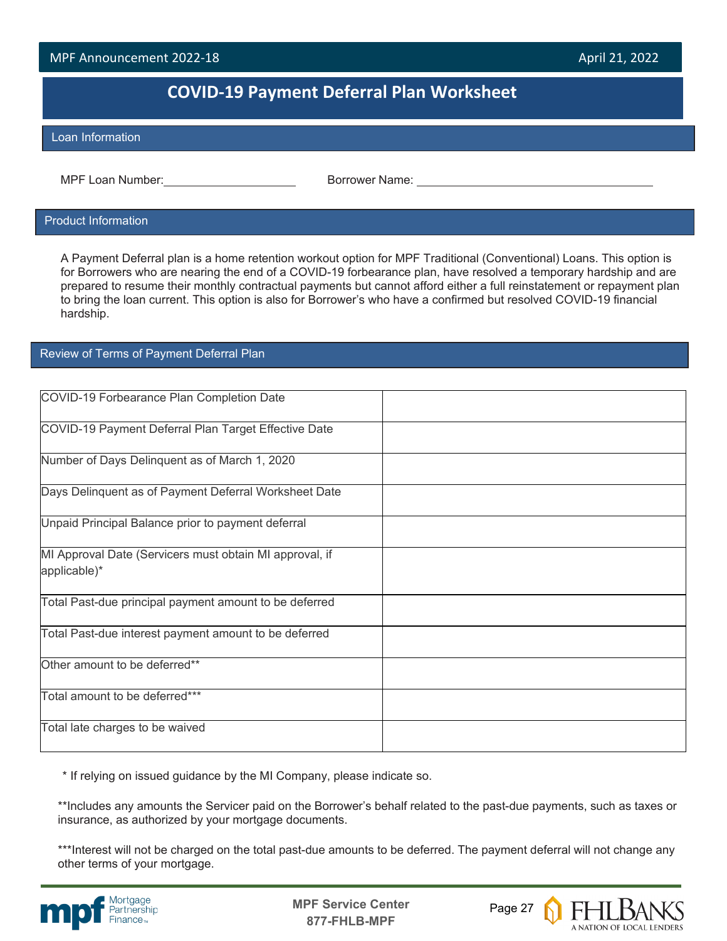### **COVID-19 Payment Deferral Plan Worksheet**

#### Loan Information

l

MPF Loan Number: Borrower Name:

#### Product Information

A Payment Deferral plan is a home retention workout option for MPF Traditional (Conventional) Loans. This option is for Borrowers who are nearing the end of a COVID-19 forbearance plan, have resolved a temporary hardship and are prepared to resume their monthly contractual payments but cannot afford either a full reinstatement or repayment plan to bring the loan current. This option is also for Borrower's who have a confirmed but resolved COVID-19 financial hardship.

#### Review of Terms of Payment Deferral Plan

| COVID-19 Forbearance Plan Completion Date               |  |
|---------------------------------------------------------|--|
| COVID-19 Payment Deferral Plan Target Effective Date    |  |
| Number of Days Delinquent as of March 1, 2020           |  |
| Days Delinquent as of Payment Deferral Worksheet Date   |  |
| Unpaid Principal Balance prior to payment deferral      |  |
| MI Approval Date (Servicers must obtain MI approval, if |  |
| applicable)*                                            |  |
| Total Past-due principal payment amount to be deferred  |  |
| Total Past-due interest payment amount to be deferred   |  |
| Other amount to be deferred**                           |  |
| Total amount to be deferred***                          |  |
| Total late charges to be waived                         |  |

\* If relying on issued guidance by the MI Company, please indicate so.

\*\*Includes any amounts the Servicer paid on the Borrower's behalf related to the past-due payments, such as taxes or insurance, as authorized by your mortgage documents.

\*\*\*Interest will not be charged on the total past-due amounts to be deferred. The payment deferral will not change any other terms of your mortgage.



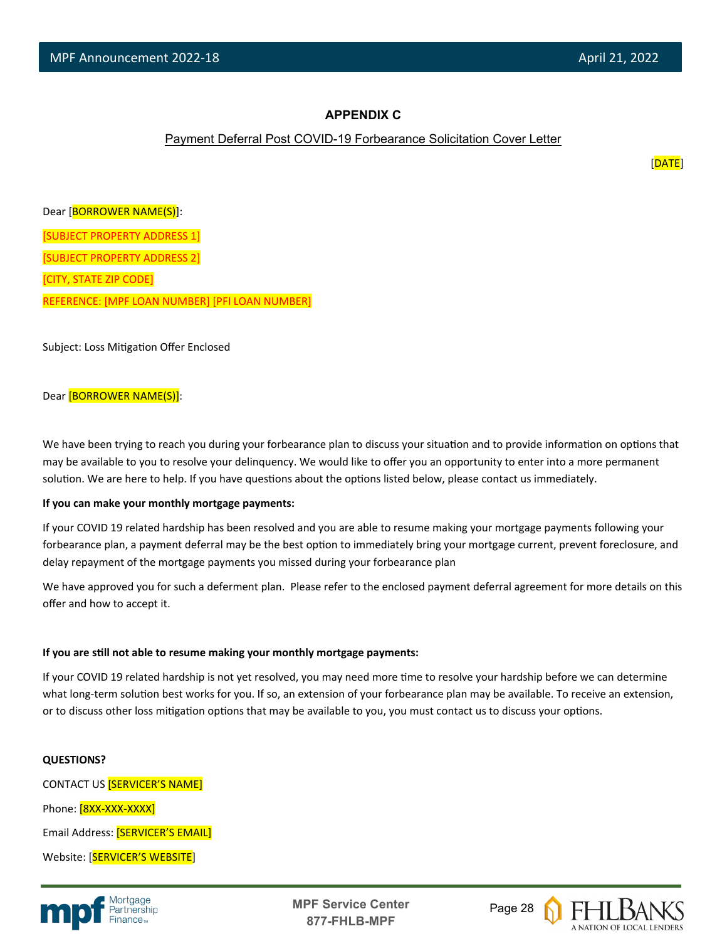#### **APPENDIX C**

#### Payment Deferral Post COVID-19 Forbearance Solicitation Cover Letter

[DATE]

Dear [BORROWER NAME(S)]: [SUBJECT PROPERTY ADDRESS 1] [SUBJECT PROPERTY ADDRESS 2] [CITY, STATE ZIP CODE] REFERENCE: [MPF LOAN NUMBER] [PFI LOAN NUMBER]

Subject: Loss Mitigation Offer Enclosed

#### Dear [BORROWER NAME(S)]:

We have been trying to reach you during your forbearance plan to discuss your situation and to provide information on options that may be available to you to resolve your delinquency. We would like to offer you an opportunity to enter into a more permanent solution. We are here to help. If you have questions about the options listed below, please contact us immediately.

#### **If you can make your monthly mortgage payments:**

If your COVID 19 related hardship has been resolved and you are able to resume making your mortgage payments following your forbearance plan, a payment deferral may be the best option to immediately bring your mortgage current, prevent foreclosure, and delay repayment of the mortgage payments you missed during your forbearance plan

We have approved you for such a deferment plan. Please refer to the enclosed payment deferral agreement for more details on this offer and how to accept it.

#### **If you are s�ll not able to resume making your monthly mortgage payments:**

If your COVID 19 related hardship is not yet resolved, you may need more time to resolve your hardship before we can determine what long-term solution best works for you. If so, an extension of your forbearance plan may be available. To receive an extension, or to discuss other loss mitigation options that may be available to you, you must contact us to discuss your options.

#### **QUESTIONS?**

CONTACT US [SERVICER'S NAME] Phone: [8XX-XXX-XXXX] Email Address: [SERVICER'S EMAIL] Website: [SERVICER'S WEBSITE]



**MPF Service Center** Page 28 **877-FHLB-MPF**

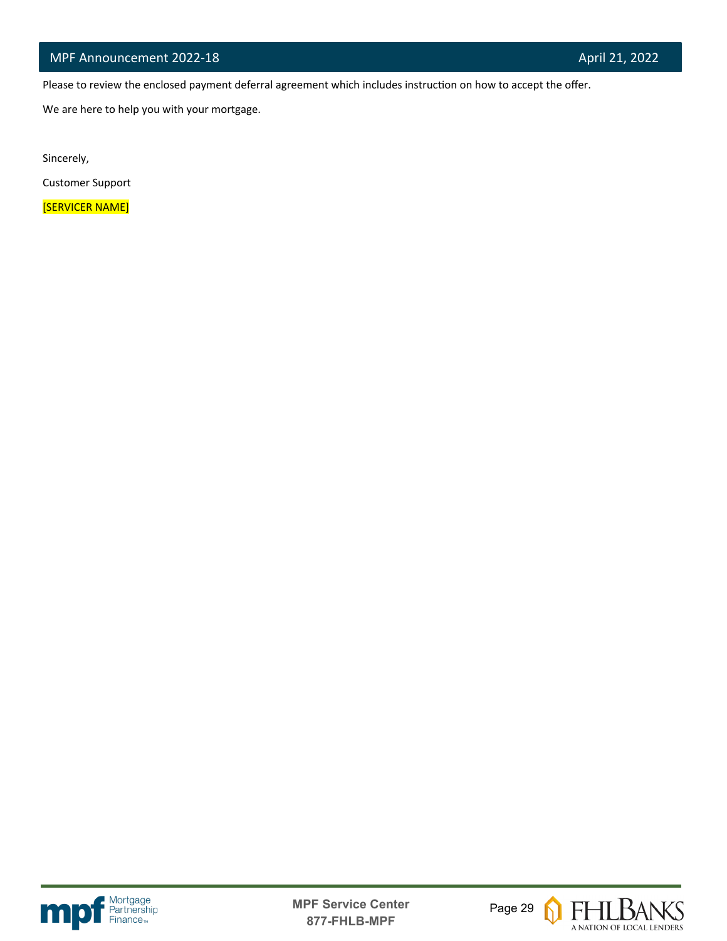Please to review the enclosed payment deferral agreement which includes instruction on how to accept the offer.

We are here to help you with your mortgage.

Sincerely,

l

Customer Support

[SERVICER NAME]





 $\Omega$ 

**FHLBANS** A NATION OF LOCAL LENDERS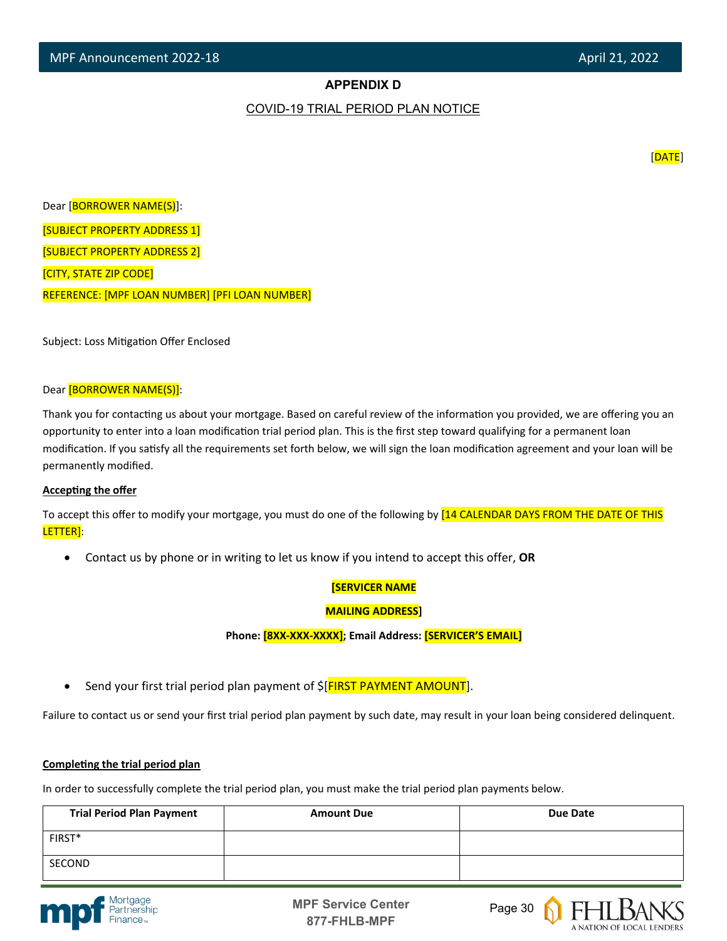#### **APPENDIX D**

#### COVID-19 TRIAL PERIOD PLAN NOTICE

[DATE]

Dear [BORROWER NAME(S)]: [SUBJECT PROPERTY ADDRESS 1] [SUBJECT PROPERTY ADDRESS 2] [CITY, STATE ZIP CODE] REFERENCE: [MPF LOAN NUMBER] [PFI LOAN NUMBER]

Subject: Loss Mitigation Offer Enclosed

#### Dear [BORROWER NAME(S)]:

Thank you for contacting us about your mortgage. Based on careful review of the information you provided, we are offering you an opportunity to enter into a loan modification trial period plan. This is the first step toward qualifying for a permanent loan modification. If you satisfy all the requirements set forth below, we will sign the loan modification agreement and your loan will be permanently modified.

#### **Accepting the offer**

To accept this offer to modify your mortgage, you must do one of the following by [14 CALENDAR DAYS FROM THE DATE OF THIS LETTER]:

• Contact us by phone or in writing to let us know if you intend to accept this offer, **OR**

#### **[SERVICER NAME**

#### **MAILING ADDRESS]**

**Phone: [8XX-XXX-XXXX]; Email Address: [SERVICER'S EMAIL]**

Send your first trial period plan payment of  $\frac{1}{2}$  FIRST PAYMENT AMOUNT].

Failure to contact us or send your first trial period plan payment by such date, may result in your loan being considered delinquent.

#### **Completing the trial period plan**

In order to successfully complete the trial period plan, you must make the trial period plan payments below.

| <b>Trial Period Plan Payment</b> | <b>Amount Due</b> | Due Date |
|----------------------------------|-------------------|----------|
| FIRST*                           |                   |          |
| SECOND                           |                   |          |





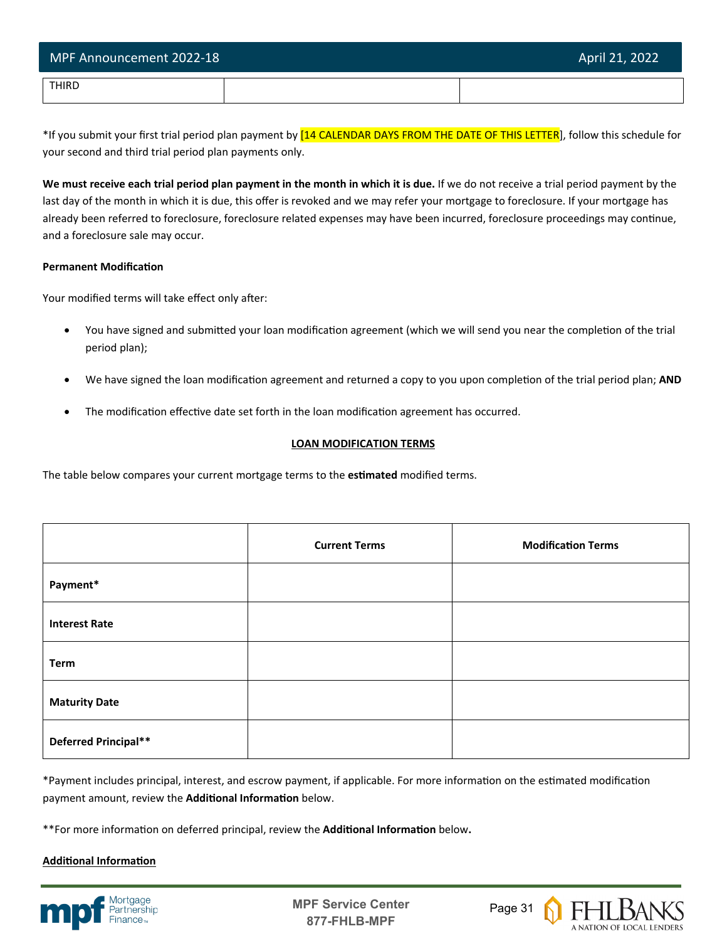| MPF Announcement 2022-18 | April 21, 2022 |
|--------------------------|----------------|
| THIRD                    |                |

\*If you submit your first trial period plan payment by [14 CALENDAR DAYS FROM THE DATE OF THIS LETTER], follow this schedule for your second and third trial period plan payments only.

**We must receive each trial period plan payment in the month in which it is due.** If we do not receive a trial period payment by the last day of the month in which it is due, this offer is revoked and we may refer your mortgage to foreclosure. If your mortgage has already been referred to foreclosure, foreclosure related expenses may have been incurred, foreclosure proceedings may continue, and a foreclosure sale may occur.

#### **Permanent Modification**

Your modified terms will take effect only after:

- You have signed and submitted your loan modification agreement (which we will send you near the completion of the trial period plan);
- We have signed the loan modification agreement and returned a copy to you upon completion of the trial period plan; AND
- The modification effective date set forth in the loan modification agreement has occurred.

#### **LOAN MODIFICATION TERMS**

The table below compares your current mortgage terms to the **es�mated** modified terms.

|                      | <b>Current Terms</b> | <b>Modification Terms</b> |
|----------------------|----------------------|---------------------------|
| Payment*             |                      |                           |
| <b>Interest Rate</b> |                      |                           |
| <b>Term</b>          |                      |                           |
| <b>Maturity Date</b> |                      |                           |
| Deferred Principal** |                      |                           |

\*Payment includes principal, interest, and escrow payment, if applicable. For more information on the estimated modification payment amount, review the **Additional Information** below.

\*\*For more information on deferred principal, review the **Additional Information** below.

#### **Additional Information**



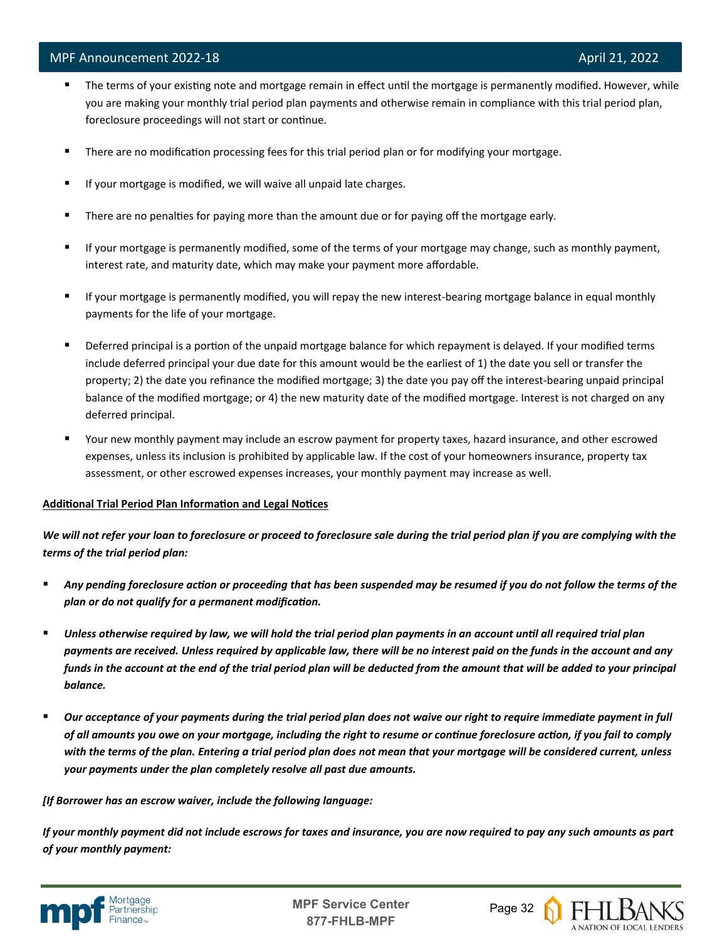- The terms of your existing note and mortgage remain in effect until the mortgage is permanently modified. However, while you are making your monthly trial period plan payments and otherwise remain in compliance with this trial period plan, foreclosure proceedings will not start or continue.
- **There are no modification processing fees for this trial period plan or for modifying your mortgage.**
- If your mortgage is modified, we will waive all unpaid late charges.
- **There are no penalties for paying more than the amount due or for paying off the mortgage early.**
- If your mortgage is permanently modified, some of the terms of your mortgage may change, such as monthly payment, interest rate, and maturity date, which may make your payment more affordable.
- If your mortgage is permanently modified, you will repay the new interest-bearing mortgage balance in equal monthly payments for the life of your mortgage.
- Deferred principal is a portion of the unpaid mortgage balance for which repayment is delayed. If your modified terms include deferred principal your due date for this amount would be the earliest of 1) the date you sell or transfer the property; 2) the date you refinance the modified mortgage; 3) the date you pay off the interest-bearing unpaid principal balance of the modified mortgage; or 4) the new maturity date of the modified mortgage. Interest is not charged on any deferred principal.
- Your new monthly payment may include an escrow payment for property taxes, hazard insurance, and other escrowed expenses, unless its inclusion is prohibited by applicable law. If the cost of your homeowners insurance, property tax assessment, or other escrowed expenses increases, your monthly payment may increase as well.

#### Additional Trial Period Plan Information and Legal Notices

*We will not refer your loan to foreclosure or proceed to foreclosure sale during the trial period plan if you are complying with the terms of the trial period plan:*

- *Any pending foreclosure action or proceeding that has been suspended may be resumed if you do not follow the terms of the plan or do not qualify for a permanent modification.*
- *Unless otherwise required by law, we will hold the trial period plan payments in an account until all required trial plan payments are received. Unless required by applicable law, there will be no interest paid on the funds in the account and any funds in the account at the end of the trial period plan will be deducted from the amount that will be added to your principal balance.*
- *Our acceptance of your payments during the trial period plan does not waive our right to require immediate payment in full of all amounts you owe on your mortgage, including the right to resume or continue foreclosure action, if you fail to comply with the terms of the plan. Entering a trial period plan does not mean that your mortgage will be considered current, unless your payments under the plan completely resolve all past due amounts.*

#### *[If Borrower has an escrow waiver, include the following language:*

*If your monthly payment did not include escrows for taxes and insurance, you are now required to pay any such amounts as part of your monthly payment:*



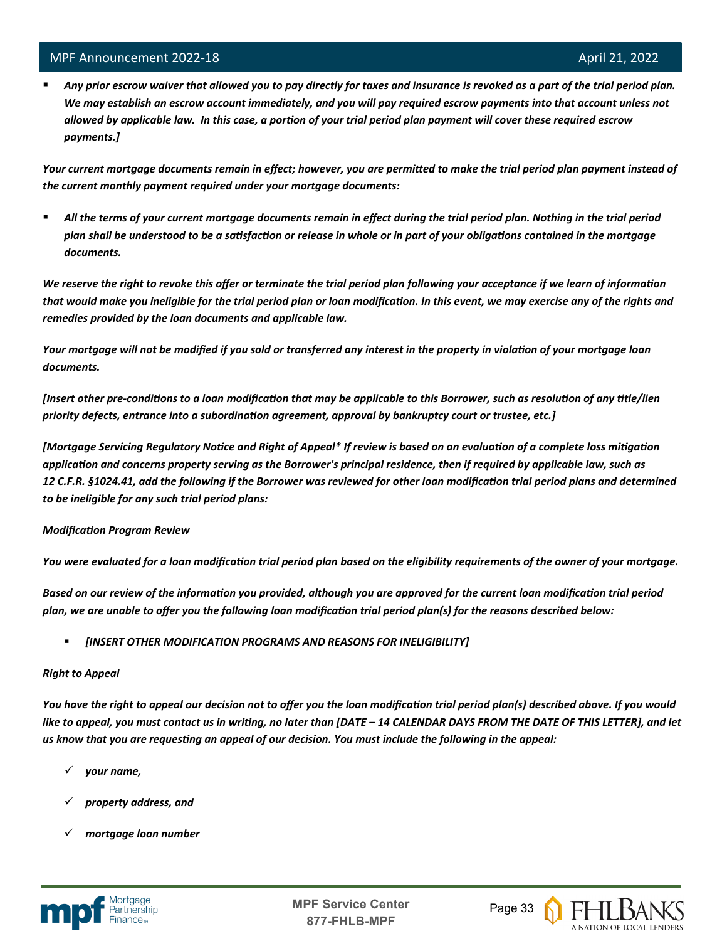l

 *Any prior escrow waiver that allowed you to pay directly for taxes and insurance is revoked as a part of the trial period plan. We may establish an escrow account immediately, and you will pay required escrow payments into that account unless not allowed by applicable law. In this case, a portion of your trial period plan payment will cover these required escrow payments.]*

*Your current mortgage documents remain in effect; however, you are permitted to make the trial period plan payment instead of the current monthly payment required under your mortgage documents:*

 *All the terms of your current mortgage documents remain in effect during the trial period plan. Nothing in the trial period plan shall be understood to be a satisfaction or release in whole or in part of your obligations contained in the mortgage documents.*

*We reserve the right to revoke this offer or terminate the trial period plan following your acceptance if we learn of information*  that would make you ineligible for the trial period plan or loan modification. In this event, we may exercise any of the rights and *remedies provided by the loan documents and applicable law.* 

*Your mortgage will not be modified if you sold or transferred any interest in the property in violation of your mortgage loan documents.* 

*[Insert other pre-conditions to a loan modification that may be applicable to this Borrower, such as resolution of any title/lien priority defects, entrance into a subordination agreement, approval by bankruptcy court or trustee, etc.]* 

*[Mortgage Servicing Regulatory Notice and Right of Appeal\* If review is based on an evaluation of a complete loss mitigation application and concerns property serving as the Borrower's principal residence, then if required by applicable law, such as 12 C.F.R. §1024.41, add the following if the Borrower was reviewed for other loan modification trial period plans and determined to be ineligible for any such trial period plans:*

#### *Modification Program Review*

*You were evaluated for a loan modification trial period plan based on the eligibility requirements of the owner of your mortgage.* 

*Based on our review of the information you provided, although you are approved for the current loan modification trial period plan, we are unable to offer you the following loan modification trial period plan(s) for the reasons described below:*

*[INSERT OTHER MODIFICATION PROGRAMS AND REASONS FOR INELIGIBILITY]*

#### *Right to Appeal*

*You have the right to appeal our decision not to offer you the loan modification trial period plan(s) described above. If you would like to appeal, you must contact us in writing, no later than [DATE – 14 CALENDAR DAYS FROM THE DATE OF THIS LETTER], and let us know that you are requesting an appeal of our decision. You must include the following in the appeal:* 

- *your name,*
- *property address, and*
- *mortgage loan number*



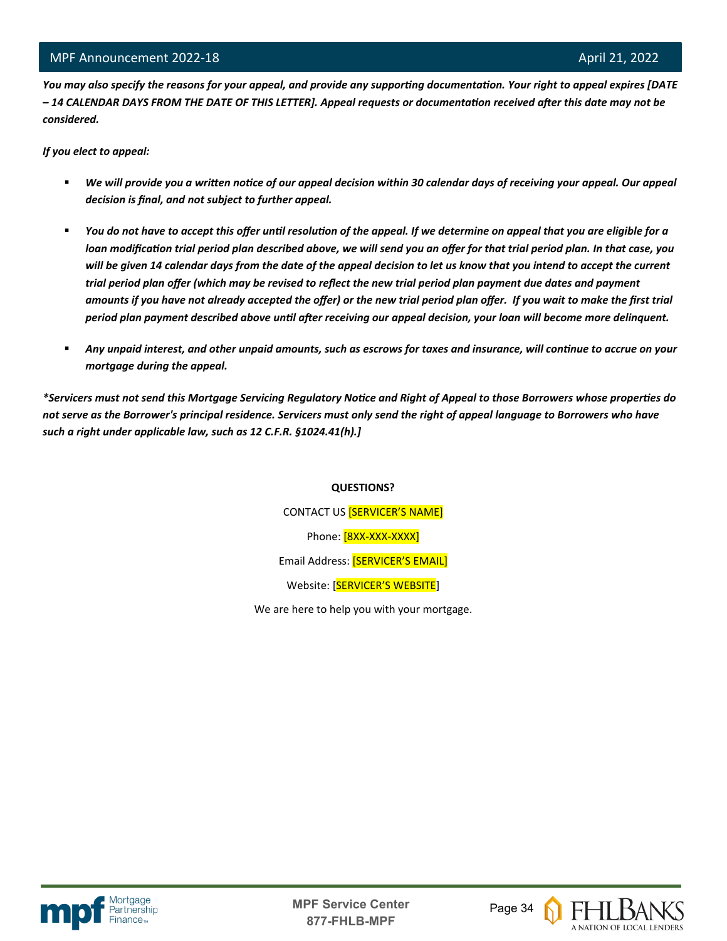*You may also specify the reasons for your appeal, and provide any supporting documentation. Your right to appeal expires [DATE – 14 CALENDAR DAYS FROM THE DATE OF THIS LETTER]. Appeal requests or documentation received after this date may not be considered.* 

*If you elect to appeal:*

l

- *We will provide you a written notice of our appeal decision within 30 calendar days of receiving your appeal. Our appeal decision is final, and not subject to further appeal.*
- *You do not have to accept this offer until resolution of the appeal. If we determine on appeal that you are eligible for a loan modification trial period plan described above, we will send you an offer for that trial period plan. In that case, you will be given 14 calendar days from the date of the appeal decision to let us know that you intend to accept the current trial period plan offer (which may be revised to reflect the new trial period plan payment due dates and payment amounts if you have not already accepted the offer) or the new trial period plan offer. If you wait to make the first trial period plan payment described above until after receiving our appeal decision, your loan will become more delinquent.*
- *Any unpaid interest, and other unpaid amounts, such as escrows for taxes and insurance, will continue to accrue on your mortgage during the appeal.*

*\*Servicers must not send this Mortgage Servicing Regulatory Notice and Right of Appeal to those Borrowers whose properties do not serve as the Borrower's principal residence. Servicers must only send the right of appeal language to Borrowers who have such a right under applicable law, such as 12 C.F.R. §1024.41(h).]*

#### **QUESTIONS?**

CONTACT US [SERVICER'S NAME] Phone: [8XX-XXX-XXXX] Email Address: [SERVICER'S EMAIL] Website: [SERVICER'S WEBSITE]

We are here to help you with your mortgage.



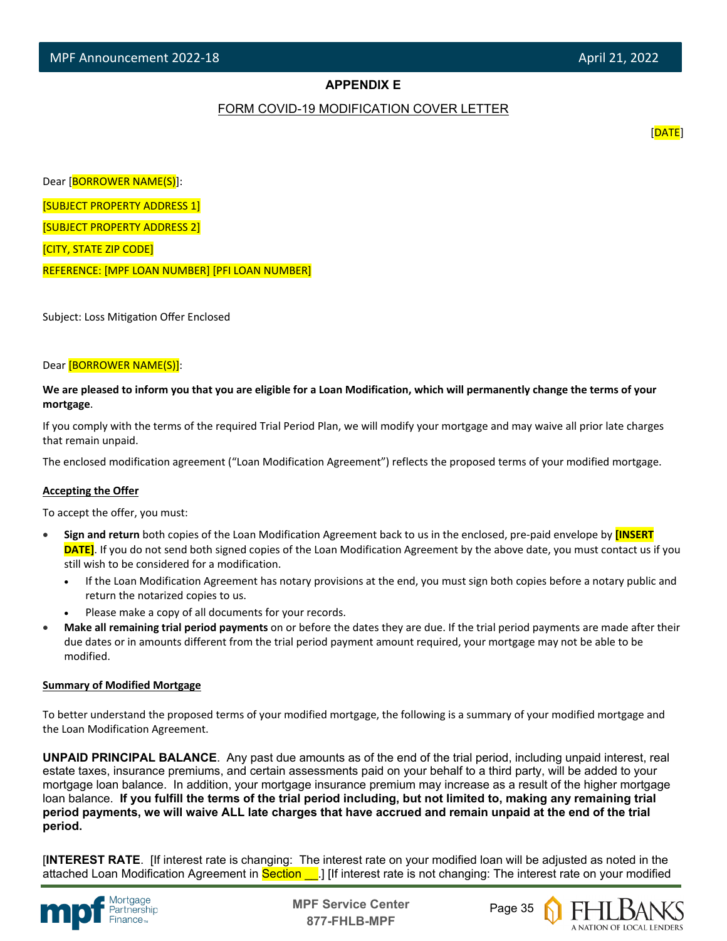#### **APPENDIX E**

#### FORM COVID-19 MODIFICATION COVER LETTER

[DATE]

Dear [BORROWER NAME(S)]:

[SUBJECT PROPERTY ADDRESS 1]

[SUBJECT PROPERTY ADDRESS 2]

[CITY, STATE ZIP CODE]

l

REFERENCE: [MPF LOAN NUMBER] [PFI LOAN NUMBER]

Subject: Loss Mitigation Offer Enclosed

#### Dear [BORROWER NAME(S)]:

**We are pleased to inform you that you are eligible for a Loan Modification, which will permanently change the terms of your mortgage**.

If you comply with the terms of the required Trial Period Plan, we will modify your mortgage and may waive all prior late charges that remain unpaid.

The enclosed modification agreement ("Loan Modification Agreement") reflects the proposed terms of your modified mortgage.

#### **Accepting the Offer**

To accept the offer, you must:

- **Sign and return** both copies of the Loan Modification Agreement back to us in the enclosed, pre-paid envelope by **[INSERT DATE]**. If you do not send both signed copies of the Loan Modification Agreement by the above date, you must contact us if you still wish to be considered for a modification.
	- If the Loan Modification Agreement has notary provisions at the end, you must sign both copies before a notary public and return the notarized copies to us.
	- Please make a copy of all documents for your records.
- **Make all remaining trial period payments** on or before the dates they are due. If the trial period payments are made after their due dates or in amounts different from the trial period payment amount required, your mortgage may not be able to be modified.

#### **Summary of Modified Mortgage**

To better understand the proposed terms of your modified mortgage, the following is a summary of your modified mortgage and the Loan Modification Agreement.

**UNPAID PRINCIPAL BALANCE**. Any past due amounts as of the end of the trial period, including unpaid interest, real estate taxes, insurance premiums, and certain assessments paid on your behalf to a third party, will be added to your mortgage loan balance. In addition, your mortgage insurance premium may increase as a result of the higher mortgage loan balance. **If you fulfill the terms of the trial period including, but not limited to, making any remaining trial period payments, we will waive ALL late charges that have accrued and remain unpaid at the end of the trial period.**

[**INTEREST RATE**. [If interest rate is changing: The interest rate on your modified loan will be adjusted as noted in the attached Loan Modification Agreement in Section . If interest rate is not changing: The interest rate on your modified